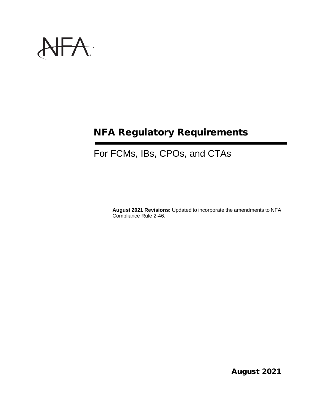

# NFA Regulatory Requirements

# For FCMs, IBs, CPOs, and CTAs

**August 2021 Revisions:** Updated to incorporate the amendments to NFA Compliance Rule 2-46.

August 2021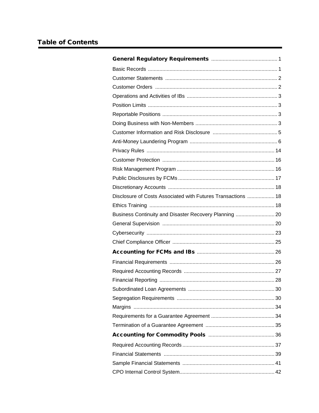| Disclosure of Costs Associated with Futures Transactions  18 |  |
|--------------------------------------------------------------|--|
|                                                              |  |
| Business Continuity and Disaster Recovery Planning  20       |  |
|                                                              |  |
|                                                              |  |
|                                                              |  |
|                                                              |  |
|                                                              |  |
|                                                              |  |
|                                                              |  |
|                                                              |  |
|                                                              |  |
|                                                              |  |
|                                                              |  |
|                                                              |  |
|                                                              |  |
|                                                              |  |
|                                                              |  |
|                                                              |  |
|                                                              |  |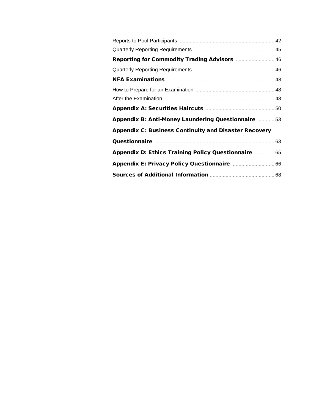| Reporting for Commodity Trading Advisors  46                 |  |
|--------------------------------------------------------------|--|
|                                                              |  |
|                                                              |  |
|                                                              |  |
|                                                              |  |
|                                                              |  |
| Appendix B: Anti-Money Laundering Questionnaire  53          |  |
| <b>Appendix C: Business Continuity and Disaster Recovery</b> |  |
|                                                              |  |
| Appendix D: Ethics Training Policy Questionnaire  65         |  |
|                                                              |  |
|                                                              |  |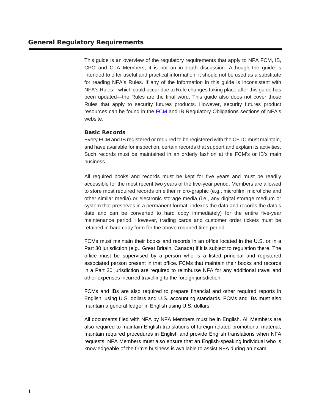This guide is an overview of the regulatory requirements that apply to NFA FCM, IB, CPO and CTA Members; it is not an in-depth discussion. Although the guide is intended to offer useful and practical information, it should not be used as a substitute for reading NFA's Rules. If any of the information in this guide is inconsistent with NFA's Rules—which could occur due to Rule changes taking place after this guide has been updated—the Rules are the final word. This guide also does not cover those Rules that apply to security futures products. However, security futures product resources can be found in the [FCM](https://www.nfa.futures.org/members/fcm/regulatory-obligations/security-futures-products.html) and [IB](https://www.nfa.futures.org/members/ib/regulatory-obligations/security-futures-products.html) Regulatory Obligations sections of NFA's website.

# Basic Records

Every FCM and IB registered or required to be registered with the CFTC must maintain, and have available for inspection, certain records that support and explain its activities. Such records must be maintained in an orderly fashion at the FCM's or IB's main business.

All required books and records must be kept for five years and must be readily accessible for the most recent two years of the five-year period. Members are allowed to store most required records on either micro-graphic (e.g., microfilm, microfiche and other similar media) or electronic storage media (i.e., any digital storage medium or system that preserves in a permanent format, indexes the data and records the data's date and can be converted to hard copy immediately) for the entire five-year maintenance period. However, trading cards and customer order tickets must be retained in hard copy form for the above required time period.

FCMs must maintain their books and records in an office located in the U.S. or in a Part 30 jurisdiction (e.g., Great Britain, Canada) if it is subject to regulation there. The office must be supervised by a person who is a listed principal and registered associated person present in that office. FCMs that maintain their books and records in a Part 30 jurisdiction are required to reimburse NFA for any additional travel and other expenses incurred travelling to the foreign jurisdiction.

FCMs and IBs are also required to prepare financial and other required reports in English, using U.S. dollars and U.S. accounting standards. FCMs and IBs must also maintain a general ledger in English using U.S. dollars.

All documents filed with NFA by NFA Members must be in English. All Members are also required to maintain English translations of foreign-related promotional material, maintain required procedures in English and provide English translations when NFA requests. NFA Members must also ensure that an English-speaking individual who is knowledgeable of the firm's business is available to assist NFA during an exam.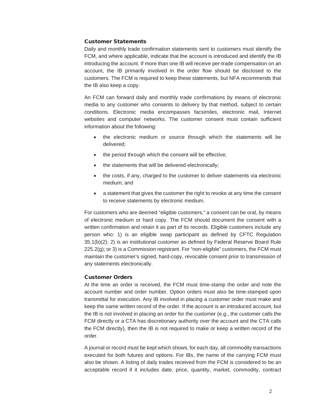# Customer Statements

Daily and monthly trade confirmation statements sent to customers must identify the FCM, and where applicable, indicate that the account is introduced and identify the IB introducing the account. If more than one IB will receive per-trade compensation on an account, the IB primarily involved in the order flow should be disclosed to the customers. The FCM is required to keep these statements, but NFA recommends that the IB also keep a copy.

An FCM can forward daily and monthly trade confirmations by means of electronic media to any customer who consents to delivery by that method, subject to certain conditions. Electronic media encompasses facsimiles, electronic mail, Internet websites and computer networks. The customer consent must contain sufficient information about the following:

- the electronic medium or source through which the statements will be delivered;
- the period through which the consent will be effective;
- the statements that will be delivered electronically;
- the costs, if any, charged to the customer to deliver statements via electronic medium; and
- a statement that gives the customer the right to revoke at any time the consent to receive statements by electronic medium.

For customers who are deemed "eligible customers," a consent can be oral, by means of electronic medium or hard copy. The FCM should document the consent with a written confirmation and retain it as part of its records. Eligible customers include any person who: 1) is an eligible swap participant as defined by CFTC Regulation 35.1(b)(2); 2) is an institutional customer as defined by Federal Reserve Board Rule 225.2(g); or 3) is a Commission registrant. For "non-eligible" customers, the FCM must maintain the customer's signed, hard-copy, revocable consent prior to transmission of any statements electronically.

# Customer Orders

At the time an order is received, the FCM must time-stamp the order and note the account number and order number. Option orders must also be time-stamped upon transmittal for execution. Any IB involved in placing a customer order must make and keep the same written record of the order. If the account is an introduced account, but the IB is not involved in placing an order for the customer (e.g., the customer calls the FCM directly or a CTA has discretionary authority over the account and the CTA calls the FCM directly), then the IB is not required to make or keep a written record of the order.

A journal or record must be kept which shows, for each day, all commodity transactions executed for both futures and options. For IBs, the name of the carrying FCM must also be shown. A listing of daily trades received from the FCM is considered to be an acceptable record if it includes date, price, quantity, market, commodity, contract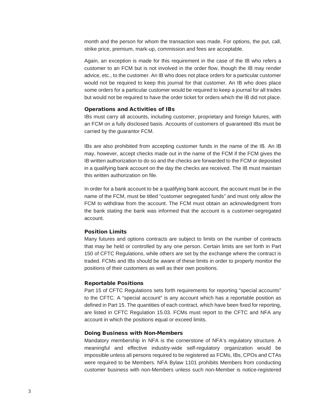month and the person for whom the transaction was made. For options, the put, call, strike price, premium, mark-up, commission and fees are acceptable.

Again, an exception is made for this requirement in the case of the IB who refers a customer to an FCM but is not involved in the order flow, though the IB may render advice, etc., to the customer. An IB who does not place orders for a particular customer would not be required to keep this journal for that customer. An IB who does place some orders for a particular customer would be required to keep a journal for all trades but would not be required to have the order ticket for orders which the IB did not place.

## Operations and Activities of IBs

IBs must carry all accounts, including customer, proprietary and foreign futures, with an FCM on a fully disclosed basis. Accounts of customers of guaranteed IBs must be carried by the guarantor FCM.

IBs are also prohibited from accepting customer funds in the name of the IB. An IB may, however, accept checks made out in the name of the FCM if the FCM gives the IB written authorization to do so and the checks are forwarded to the FCM or deposited in a qualifying bank account on the day the checks are received. The IB must maintain this written authorization on file.

In order for a bank account to be a qualifying bank account, the account must be in the name of the FCM, must be titled "customer segregated funds" and must only allow the FCM to withdraw from the account. The FCM must obtain an acknowledgment from the bank stating the bank was informed that the account is a customer-segregated account.

## Position Limits

Many futures and options contracts are subject to limits on the number of contracts that may be held or controlled by any one person. Certain limits are set forth in Part 150 of CFTC Regulations, while others are set by the exchange where the contract is traded. FCMs and IBs should be aware of these limits in order to properly monitor the positions of their customers as well as their own positions.

### Reportable Positions

Part 15 of CFTC Regulations sets forth requirements for reporting "special accounts" to the CFTC. A "special account" is any account which has a reportable position as defined in Part 15. The quantities of each contract, which have been fixed for reporting, are listed in CFTC Regulation 15.03. FCMs must report to the CFTC and NFA any account in which the positions equal or exceed limits.

#### Doing Business with Non-Members

Mandatory membership in NFA is the cornerstone of NFA's regulatory structure. A meaningful and effective industry-wide self-regulatory organization would be impossible unless all persons required to be registered as FCMs, IBs, CPOs and CTAs were required to be Members. NFA Bylaw 1101 prohibits Members from conducting customer business with non-Members unless such non-Member is notice-registered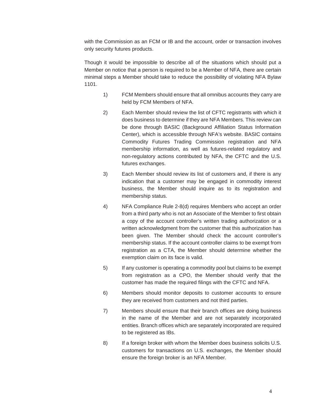with the Commission as an FCM or IB and the account, order or transaction involves only security futures products.

Though it would be impossible to describe all of the situations which should put a Member on notice that a person is required to be a Member of NFA, there are certain minimal steps a Member should take to reduce the possibility of violating NFA Bylaw 1101.

- 1) FCM Members should ensure that all omnibus accounts they carry are held by FCM Members of NFA.
- 2) Each Member should review the list of CFTC registrants with which it does business to determine if they are NFA Members. This review can be done through BASIC (Background Affiliation Status Information Center), which is accessible through NFA's website. BASIC contains Commodity Futures Trading Commission registration and NFA membership information, as well as futures-related regulatory and non-regulatory actions contributed by NFA, the CFTC and the U.S. futures exchanges.
- 3) Each Member should review its list of customers and, if there is any indication that a customer may be engaged in commodity interest business, the Member should inquire as to its registration and membership status.
- 4) NFA Compliance Rule 2-8(d) requires Members who accept an order from a third party who is not an Associate of the Member to first obtain a copy of the account controller's written trading authorization or a written acknowledgment from the customer that this authorization has been given. The Member should check the account controller's membership status. If the account controller claims to be exempt from registration as a CTA, the Member should determine whether the exemption claim on its face is valid.
- 5) If any customer is operating a commodity pool but claims to be exempt from registration as a CPO, the Member should verify that the customer has made the required filings with the CFTC and NFA.
- 6) Members should monitor deposits to customer accounts to ensure they are received from customers and not third parties.
- 7) Members should ensure that their branch offices are doing business in the name of the Member and are not separately incorporated entities. Branch offices which are separately incorporated are required to be registered as IBs.
- 8) If a foreign broker with whom the Member does business solicits U.S. customers for transactions on U.S. exchanges, the Member should ensure the foreign broker is an NFA Member.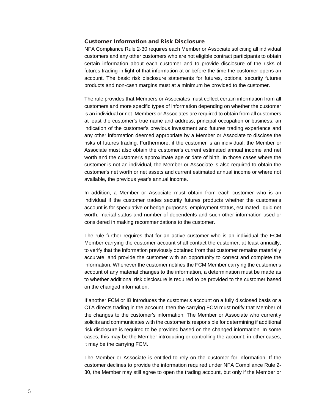## Customer Information and Risk Disclosure

NFA Compliance Rule 2-30 requires each Member or Associate soliciting all individual customers and any other customers who are not eligible contract participants to obtain certain information about each customer and to provide disclosure of the risks of futures trading in light of that information at or before the time the customer opens an account. The basic risk disclosure statements for futures, options, security futures products and non-cash margins must at a minimum be provided to the customer.

The rule provides that Members or Associates must collect certain information from all customers and more specific types of information depending on whether the customer is an individual or not. Members or Associates are required to obtain from all customers at least the customer's true name and address, principal occupation or business, an indication of the customer's previous investment and futures trading experience and any other information deemed appropriate by a Member or Associate to disclose the risks of futures trading. Furthermore, if the customer is an individual, the Member or Associate must also obtain the customer's current estimated annual income and net worth and the customer's approximate age or date of birth. In those cases where the customer is not an individual, the Member or Associate is also required to obtain the customer's net worth or net assets and current estimated annual income or where not available, the previous year's annual income.

In addition, a Member or Associate must obtain from each customer who is an individual if the customer trades security futures products whether the customer's account is for speculative or hedge purposes, employment status, estimated liquid net worth, marital status and number of dependents and such other information used or considered in making recommendations to the customer.

The rule further requires that for an active customer who is an individual the FCM Member carrying the customer account shall contact the customer, at least annually, to verify that the information previously obtained from that customer remains materially accurate, and provide the customer with an opportunity to correct and complete the information. Whenever the customer notifies the FCM Member carrying the customer's account of any material changes to the information, a determination must be made as to whether additional risk disclosure is required to be provided to the customer based on the changed information.

If another FCM or IB introduces the customer's account on a fully disclosed basis or a CTA directs trading in the account, then the carrying FCM must notify that Member of the changes to the customer's information. The Member or Associate who currently solicits and communicates with the customer is responsible for determining if additional risk disclosure is required to be provided based on the changed information. In some cases, this may be the Member introducing or controlling the account; in other cases, it may be the carrying FCM.

The Member or Associate is entitled to rely on the customer for information. If the customer declines to provide the information required under NFA Compliance Rule 2- 30, the Member may still agree to open the trading account, but only if the Member or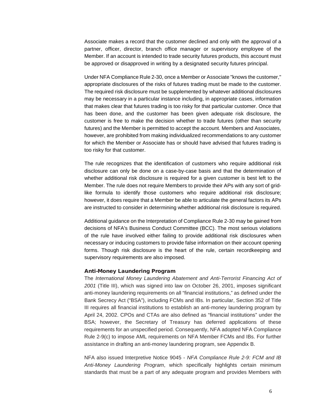Associate makes a record that the customer declined and only with the approval of a partner, officer, director, branch office manager or supervisory employee of the Member. If an account is intended to trade security futures products, this account must be approved or disapproved in writing by a designated security futures principal.

Under NFA Compliance Rule 2-30, once a Member or Associate "knows the customer," appropriate disclosures of the risks of futures trading must be made to the customer. The required risk disclosure must be supplemented by whatever additional disclosures may be necessary in a particular instance including, in appropriate cases, information that makes clear that futures trading is too risky for that particular customer. Once that has been done, and the customer has been given adequate risk disclosure, the customer is free to make the decision whether to trade futures (other than security futures) and the Member is permitted to accept the account. Members and Associates, however, are prohibited from making individualized recommendations to any customer for which the Member or Associate has or should have advised that futures trading is too risky for that customer.

The rule recognizes that the identification of customers who require additional risk disclosure can only be done on a case-by-case basis and that the determination of whether additional risk disclosure is required for a given customer is best left to the Member. The rule does not require Members to provide their APs with any sort of gridlike formula to identify those customers who require additional risk disclosure; however, it does require that a Member be able to articulate the general factors its APs are instructed to consider in determining whether additional risk disclosure is required.

Additional guidance on the Interpretation of Compliance Rule 2-30 may be gained from decisions of NFA's Business Conduct Committee (BCC). The most serious violations of the rule have involved either failing to provide additional risk disclosures when necessary or inducing customers to provide false information on their account opening forms. Though risk disclosure is the heart of the rule, certain recordkeeping and supervisory requirements are also imposed.

#### Anti-Money Laundering Program

The *International Money Laundering Abatement and Anti-Terrorist Financing Act of 2001* (Title III), which was signed into law on October 26, 2001, imposes significant anti-money laundering requirements on all "financial institutions," as defined under the Bank Secrecy Act ("BSA"), including FCMs and IBs. In particular, Section 352 of Title III requires all financial institutions to establish an anti-money laundering program by April 24, 2002. CPOs and CTAs are also defined as "financial institutions" under the BSA; however, the Secretary of Treasury has deferred applications of these requirements for an unspecified period. Consequently, NFA adopted NFA Compliance Rule 2-9(c) to impose AML requirements on NFA Member FCMs and IBs. For further assistance in drafting an anti-money laundering program, see Appendix B.

NFA also issued Interpretive Notice 9045 - *NFA Compliance Rule 2-9: FCM and IB Anti-Money Laundering Program*, which specifically highlights certain minimum standards that must be a part of any adequate program and provides Members with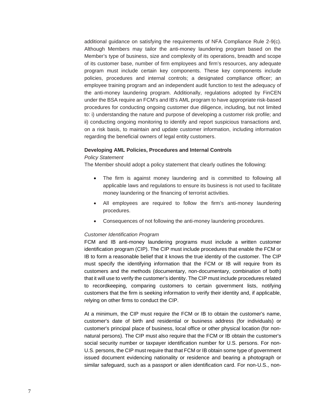additional guidance on satisfying the requirements of NFA Compliance Rule 2-9(c). Although Members may tailor the anti-money laundering program based on the Member's type of business, size and complexity of its operations, breadth and scope of its customer base, number of firm employees and firm's resources, any adequate program must include certain key components. These key components include policies, procedures and internal controls; a designated compliance officer; an employee training program and an independent audit function to test the adequacy of the anti-money laundering program. Additionally, regulations adopted by FinCEN under the BSA require an FCM's and IB's AML program to have appropriate risk-based procedures for conducting ongoing customer due diligence, including, but not limited to: i) understanding the nature and purpose of developing a customer risk profile; and ii) conducting ongoing monitoring to identify and report suspicious transactions and, on a risk basis, to maintain and update customer information, including information regarding the beneficial owners of legal entity customers.

#### **Developing AML Policies, Procedures and Internal Controls**

## *Policy Statement*

The Member should adopt a policy statement that clearly outlines the following:

- The firm is against money laundering and is committed to following all applicable laws and regulations to ensure its business is not used to facilitate money laundering or the financing of terrorist activities.
- All employees are required to follow the firm's anti-money laundering procedures.
- Consequences of not following the anti-money laundering procedures.

#### *Customer Identification Program*

FCM and IB anti-money laundering programs must include a written customer identification program (CIP). The CIP must include procedures that enable the FCM or IB to form a reasonable belief that it knows the true identity of the customer. The CIP must specify the identifying information that the FCM or IB will require from its customers and the methods (documentary, non-documentary, combination of both) that it will use to verify the customer's identity. The CIP must include procedures related to recordkeeping, comparing customers to certain government lists, notifying customers that the firm is seeking information to verify their identity and, if applicable, relying on other firms to conduct the CIP.

At a minimum, the CIP must require the FCM or IB to obtain the customer's name, customer's date of birth and residential or business address (for individuals) or customer's principal place of business, local office or other physical location (for nonnatural persons). The CIP must also require that the FCM or IB obtain the customer's social security number or taxpayer identification number for U.S. persons. For non-U.S. persons, the CIP must require that that FCM or IB obtain some type of government issued document evidencing nationality or residence and bearing a photograph or similar safeguard, such as a passport or alien identification card. For non-U.S., non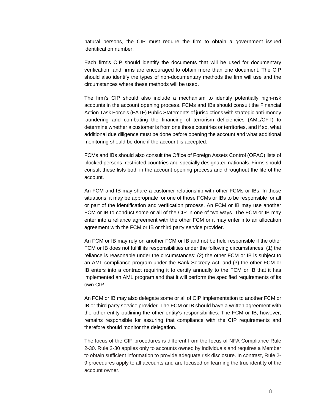natural persons, the CIP must require the firm to obtain a government issued identification number.

Each firm's CIP should identify the documents that will be used for documentary verification, and firms are encouraged to obtain more than one document. The CIP should also identify the types of non-documentary methods the firm will use and the circumstances where these methods will be used.

The firm's CIP should also include a mechanism to identify potentially high-risk accounts in the account opening process. FCMs and IBs should consult the Financial Action Task Force's (FATF) Public Statements of jurisdictions with strategic anti-money laundering and combating the financing of terrorism deficiencies (AML/CFT) to determine whether a customer is from one those countries or territories, and if so, what additional due diligence must be done before opening the account and what additional monitoring should be done if the account is accepted.

FCMs and IBs should also consult the Office of Foreign Assets Control (OFAC) lists of blocked persons, restricted countries and specially designated nationals. Firms should consult these lists both in the account opening process and throughout the life of the account.

An FCM and IB may share a customer relationship with other FCMs or IBs. In those situations, it may be appropriate for one of those FCMs or IBs to be responsible for all or part of the identification and verification process. An FCM or IB may use another FCM or IB to conduct some or all of the CIP in one of two ways. The FCM or IB may enter into a reliance agreement with the other FCM or it may enter into an allocation agreement with the FCM or IB or third party service provider.

An FCM or IB may rely on another FCM or IB and not be held responsible if the other FCM or IB does not fulfill its responsibilities under the following circumstances: (1) the reliance is reasonable under the circumstances; (2) the other FCM or IB is subject to an AML compliance program under the Bank Secrecy Act; and (3) the other FCM or IB enters into a contract requiring it to certify annually to the FCM or IB that it has implemented an AML program and that it will perform the specified requirements of its own CIP.

An FCM or IB may also delegate some or all of CIP implementation to another FCM or IB or third party service provider. The FCM or IB should have a written agreement with the other entity outlining the other entity's responsibilities. The FCM or IB, however, remains responsible for assuring that compliance with the CIP requirements and therefore should monitor the delegation.

The focus of the CIP procedures is different from the focus of NFA Compliance Rule 2-30. Rule 2-30 applies only to accounts owned by individuals and requires a Member to obtain sufficient information to provide adequate risk disclosure. In contrast, Rule 2- 9 procedures apply to all accounts and are focused on learning the true identity of the account owner.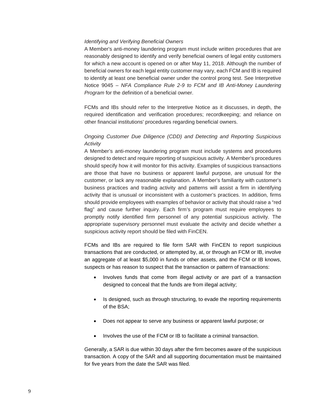## *Identifying and Verifying Beneficial Owners*

A Member's anti-money laundering program must include written procedures that are reasonably designed to identify and verify beneficial owners of legal entity customers for which a new account is opened on or after May 11, 2018. Although the number of beneficial owners for each legal entity customer may vary, each FCM and IB is required to identify at least one beneficial owner under the control prong test. See Interpretive Notice 9045 – *NFA Compliance Rule 2-9 to FCM and IB Anti-Money Laundering Program* for the definition of a beneficial owner.

FCMs and IBs should refer to the Interpretive Notice as it discusses, in depth, the required identification and verification procedures; recordkeeping; and reliance on other financial institutions' procedures regarding beneficial owners.

# *Ongoing Customer Due Diligence (CDD) and Detecting and Reporting Suspicious Activity*

A Member's anti-money laundering program must include systems and procedures designed to detect and require reporting of suspicious activity. A Member's procedures should specify how it will monitor for this activity. Examples of suspicious transactions are those that have no business or apparent lawful purpose, are unusual for the customer, or lack any reasonable explanation. A Member's familiarity with customer's business practices and trading activity and patterns will assist a firm in identifying activity that is unusual or inconsistent with a customer's practices. In addition, firms should provide employees with examples of behavior or activity that should raise a "red flag" and cause further inquiry. Each firm's program must require employees to promptly notify identified firm personnel of any potential suspicious activity. The appropriate supervisory personnel must evaluate the activity and decide whether a suspicious activity report should be filed with FinCEN.

FCMs and IBs are required to file form SAR with FinCEN to report suspicious transactions that are conducted, or attempted by, at, or through an FCM or IB, involve an aggregate of at least \$5,000 in funds or other assets, and the FCM or IB knows, suspects or has reason to suspect that the transaction or pattern of transactions:

- Involves funds that come from illegal activity or are part of a transaction designed to conceal that the funds are from illegal activity;
- Is designed, such as through structuring, to evade the reporting requirements of the BSA;
- Does not appear to serve any business or apparent lawful purpose; or
- Involves the use of the FCM or IB to facilitate a criminal transaction.

Generally, a SAR is due within 30 days after the firm becomes aware of the suspicious transaction. A copy of the SAR and all supporting documentation must be maintained for five years from the date the SAR was filed.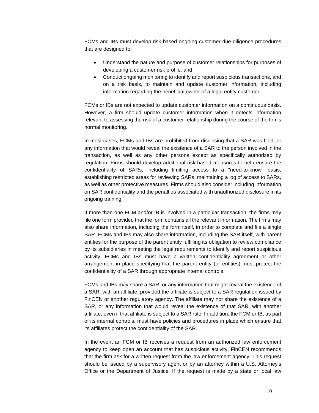FCMs and IBs must develop risk-based ongoing customer due diligence procedures that are designed to:

- Understand the nature and purpose of customer relationships for purposes of developing a customer risk profile; and
- Conduct ongoing monitoring to identify and report suspicious transactions, and on a risk basis, to maintain and update customer information, including information regarding the beneficial owner of a legal entity customer.

FCMs or IBs are not expected to update customer information on a continuous basis. However, a firm should update customer information when it detects information relevant to assessing the risk of a customer relationship during the course of the firm's normal monitoring.

In most cases, FCMs and IBs are prohibited from disclosing that a SAR was filed, or any information that would reveal the existence of a SAR to the person involved in the transaction, as well as any other persons except as specifically authorized by regulation. Firms should develop additional risk-based measures to help ensure the confidentiality of SARs, including limiting access to a "need-to-know" basis, establishing restricted areas for reviewing SARs, maintaining a log of access to SARs, as well as other protective measures. Firms should also consider including information on SAR confidentiality and the penalties associated with unauthorized disclosure in its ongoing training.

If more than one FCM and/or IB is involved in a particular transaction, the firms may file one form provided that the form contains all the relevant information. The firms may also share information, including the form itself, in order to complete and file a single SAR. FCMs and IBs may also share information, including the SAR itself, with parent entities for the purpose of the parent entity fulfilling its obligation to review compliance by its subsidiaries in meeting the legal requirements to identify and report suspicious activity. FCMs and IBs must have a written confidentiality agreement or other arrangement in place specifying that the parent entity (or entities) must protect the confidentiality of a SAR through appropriate internal controls.

FCMs and IBs may share a SAR, or any information that might reveal the existence of a SAR, with an affiliate, provided the affiliate is subject to a SAR regulation issued by FinCEN or another regulatory agency. The affiliate may not share the existence of a SAR, or any information that would reveal the existence of that SAR, with another affiliate, even if that affiliate is subject to a SAR rule. In addition, the FCM or IB, as part of its internal controls, must have policies and procedures in place which ensure that its affiliates protect the confidentiality of the SAR.

In the event an FCM or IB receives a request from an authorized law enforcement agency to keep open an account that has suspicious activity, FinCEN recommends that the firm ask for a written request from the law enforcement agency. This request should be issued by a supervisory agent or by an attorney within a U.S. Attorney's Office or the Department of Justice. If the request is made by a state or local law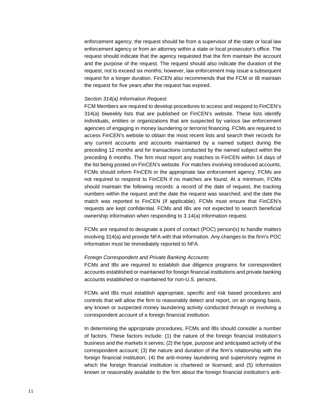enforcement agency, the request should be from a supervisor of the state or local law enforcement agency or from an attorney within a state or local prosecutor's office. The request should indicate that the agency requested that the firm maintain the account and the purpose of the request. The request should also indicate the duration of the request, not to exceed six months; however, law enforcement may issue a subsequent request for a longer duration. FinCEN also recommends that the FCM or IB maintain the request for five years after the request has expired.

#### *Section 314(a) Information Request*

FCM Members are required to develop procedures to access and respond to FinCEN's 314(a) biweekly lists that are published on FinCEN's website. These lists identify individuals, entities or organizations that are suspected by various law enforcement agencies of engaging in money laundering or terrorist financing. FCMs are required to access FinCEN's website to obtain the most recent lists and search their records for any current accounts and accounts maintained by a named subject during the preceding 12 months and for transactions conducted by the named subject within the preceding 6 months. The firm must report any matches to FinCEN within 14 days of the list being posted on FinCEN's website. For matches involving introduced accounts, FCMs should inform FinCEN or the appropriate law enforcement agency. FCMs are not required to respond to FinCEN if no matches are found. At a minimum, FCMs should maintain the following records: a record of the date of request, the tracking numbers within the request and the date the request was searched; and the date the match was reported to FinCEN (if applicable). FCMs must ensure that FinCEN's requests are kept confidential. FCMs and IBs are not expected to search beneficial ownership information when responding to 3.14(a) information request.

FCMs are required to designate a point of contact (POC) person(s) to handle matters involving 314(a) and provide NFA with that information. Any changes to the firm's POC information must be immediately reported to NFA.

## *Foreign Correspondent and Private Banking Accounts*

FCMs and IBs are required to establish due diligence programs for correspondent accounts established or maintained for foreign financial institutions and private banking accounts established or maintained for non-U.S. persons.

FCMs and IBs must establish appropriate, specific and risk based procedures and controls that will allow the firm to reasonably detect and report, on an ongoing basis, any known or suspected money laundering activity conducted through or involving a correspondent account of a foreign financial institution.

In determining the appropriate procedures, FCMs and IBs should consider a number of factors. These factors include: (1) the nature of the foreign financial institution's business and the markets it serves; (2) the type, purpose and anticipated activity of the correspondent account; (3) the nature and duration of the firm's relationship with the foreign financial institution; (4) the anti-money laundering and supervisory regime in which the foreign financial institution is chartered or licensed; and (5) information known or reasonably available to the firm about the foreign financial institution's anti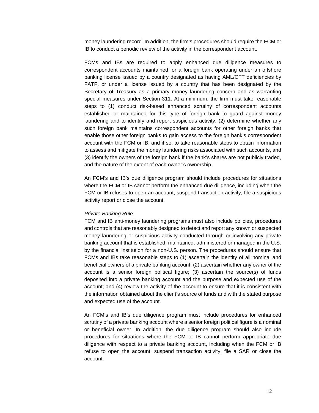money laundering record. In addition, the firm's procedures should require the FCM or IB to conduct a periodic review of the activity in the correspondent account.

FCMs and IBs are required to apply enhanced due diligence measures to correspondent accounts maintained for a foreign bank operating under an offshore banking license issued by a country designated as having AML/CFT deficiencies by FATF, or under a license issued by a country that has been designated by the Secretary of Treasury as a primary money laundering concern and as warranting special measures under Section 311. At a minimum, the firm must take reasonable steps to (1) conduct risk-based enhanced scrutiny of correspondent accounts established or maintained for this type of foreign bank to guard against money laundering and to identify and report suspicious activity, (2) determine whether any such foreign bank maintains correspondent accounts for other foreign banks that enable those other foreign banks to gain access to the foreign bank's correspondent account with the FCM or IB, and if so, to take reasonable steps to obtain information to assess and mitigate the money laundering risks associated with such accounts, and (3) identify the owners of the foreign bank if the bank's shares are not publicly traded, and the nature of the extent of each owner's ownership.

An FCM's and IB's due diligence program should include procedures for situations where the FCM or IB cannot perform the enhanced due diligence, including when the FCM or IB refuses to open an account, suspend transaction activity, file a suspicious activity report or close the account.

#### *Private Banking Rule*

FCM and IB anti-money laundering programs must also include policies, procedures and controls that are reasonably designed to detect and report any known or suspected money laundering or suspicious activity conducted through or involving any private banking account that is established, maintained, administered or managed in the U.S. by the financial institution for a non-U.S. person. The procedures should ensure that FCMs and IBs take reasonable steps to (1) ascertain the identity of all nominal and beneficial owners of a private banking account; (2) ascertain whether any owner of the account is a senior foreign political figure; (3) ascertain the source(s) of funds deposited into a private banking account and the purpose and expected use of the account; and (4) review the activity of the account to ensure that it is consistent with the information obtained about the client's source of funds and with the stated purpose and expected use of the account.

An FCM's and IB's due diligence program must include procedures for enhanced scrutiny of a private banking account where a senior foreign political figure is a nominal or beneficial owner. In addition, the due diligence program should also include procedures for situations where the FCM or IB cannot perform appropriate due diligence with respect to a private banking account, including when the FCM or IB refuse to open the account, suspend transaction activity, file a SAR or close the account.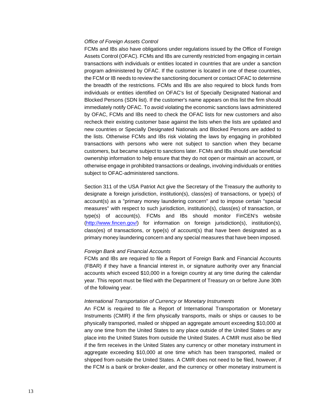#### *Office of Foreign Assets Control*

FCMs and IBs also have obligations under regulations issued by the Office of Foreign Assets Control (OFAC). FCMs and IBs are currently restricted from engaging in certain transactions with individuals or entities located in countries that are under a sanction program administered by OFAC. If the customer is located in one of these countries, the FCM or IB needs to review the sanctioning document or contact OFAC to determine the breadth of the restrictions. FCMs and IBs are also required to block funds from individuals or entities identified on OFAC's list of Specially Designated National and Blocked Persons (SDN list). If the customer's name appears on this list the firm should immediately notify OFAC. To avoid violating the economic sanctions laws administered by OFAC, FCMs and IBs need to check the OFAC lists for new customers and also recheck their existing customer base against the lists when the lists are updated and new countries or Specially Designated Nationals and Blocked Persons are added to the lists. Otherwise FCMs and IBs risk violating the laws by engaging in prohibited transactions with persons who were not subject to sanction when they became customers, but became subject to sanctions later. FCMs and IBs should use beneficial ownership information to help ensure that they do not open or maintain an account, or otherwise engage in prohibited transactions or dealings, involving individuals or entities subject to OFAC-administered sanctions.

Section 311 of the USA Patriot Act give the Secretary of the Treasury the authority to designate a foreign jurisdiction, institution(s), class(es) of transactions, or type(s) of account(s) as a "primary money laundering concern" and to impose certain "special measures" with respect to such jurisdiction, institution(s), class(es) of transaction, or type(s) of account(s). FCMs and IBs should monitor FinCEN's website [\(http://www.fincen.gov/\)](http://www.fincen.gov/) for information on foreign jurisdiction(s), institution(s), class(es) of transactions, or type(s) of account(s) that have been designated as a primary money laundering concern and any special measures that have been imposed.

#### *Foreign Bank and Financial Accounts*

FCMs and IBs are required to file a Report of Foreign Bank and Financial Accounts (FBAR) if they have a financial interest in, or signature authority over any financial accounts which exceed \$10,000 in a foreign country at any time during the calendar year. This report must be filed with the Department of Treasury on or before June 30th of the following year.

#### *International Transportation of Currency or Monetary Instruments*

An FCM is required to file a Report of International Transportation or Monetary Instruments (CMIR) if the firm physically transports, mails or ships or causes to be physically transported, mailed or shipped an aggregate amount exceeding \$10,000 at any one time from the United States to any place outside of the United States or any place into the United States from outside the United States. A CMIR must also be filed if the firm receives in the United States any currency or other monetary instrument in aggregate exceeding \$10,000 at one time which has been transported, mailed or shipped from outside the United States. A CMIR does not need to be filed, however, if the FCM is a bank or broker-dealer, and the currency or other monetary instrument is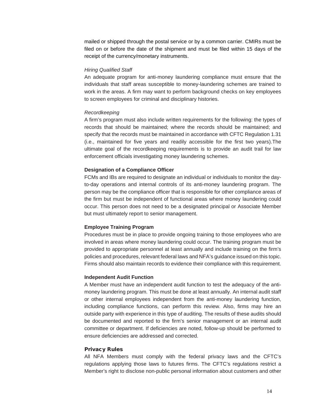mailed or shipped through the postal service or by a common carrier. CMIRs must be filed on or before the date of the shipment and must be filed within 15 days of the receipt of the currency/monetary instruments.

#### *Hiring Qualified Staff*

An adequate program for anti-money laundering compliance must ensure that the individuals that staff areas susceptible to money-laundering schemes are trained to work in the areas. A firm may want to perform background checks on key employees to screen employees for criminal and disciplinary histories.

#### *Recordkeeping*

A firm's program must also include written requirements for the following: the types of records that should be maintained; where the records should be maintained; and specify that the records must be maintained in accordance with CFTC Regulation 1.31 (i.e., maintained for five years and readily accessible for the first two years).The ultimate goal of the recordkeeping requirements is to provide an audit trail for law enforcement officials investigating money laundering schemes.

### **Designation of a Compliance Officer**

FCMs and IBs are required to designate an individual or individuals to monitor the dayto-day operations and internal controls of its anti-money laundering program. The person may be the compliance officer that is responsible for other compliance areas of the firm but must be independent of functional areas where money laundering could occur. This person does not need to be a designated principal or Associate Member but must ultimately report to senior management.

## **Employee Training Program**

Procedures must be in place to provide ongoing training to those employees who are involved in areas where money laundering could occur. The training program must be provided to appropriate personnel at least annually and include training on the firm's policies and procedures, relevant federal laws and NFA's guidance issued on this topic. Firms should also maintain records to evidence their compliance with this requirement.

#### **Independent Audit Function**

A Member must have an independent audit function to test the adequacy of the antimoney laundering program. This must be done at least annually. An internal audit staff or other internal employees independent from the anti-money laundering function, including compliance functions, can perform this review. Also, firms may hire an outside party with experience in this type of auditing. The results of these audits should be documented and reported to the firm's senior management or an internal audit committee or department. If deficiencies are noted, follow-up should be performed to ensure deficiencies are addressed and corrected.

## Privacy Rules

All NFA Members must comply with the federal privacy laws and the CFTC's regulations applying those laws to futures firms. The CFTC's regulations restrict a Member's right to disclose non-public personal information about customers and other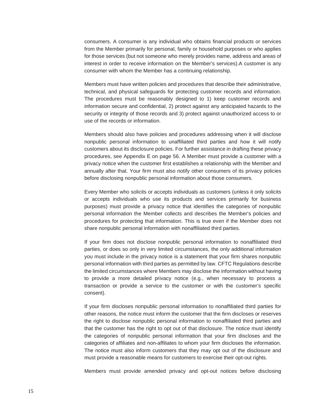consumers. A consumer is any individual who obtains financial products or services from the Member primarily for personal, family or household purposes or who applies for those services (but not someone who merely provides name, address and areas of interest in order to receive information on the Member's services).A customer is any consumer with whom the Member has a continuing relationship.

Members must have written policies and procedures that describe their administrative, technical, and physical safeguards for protecting customer records and information. The procedures must be reasonably designed to 1) keep customer records and information secure and confidential, 2) protect against any anticipated hazards to the security or integrity of those records and 3) protect against unauthorized access to or use of the records or information.

Members should also have policies and procedures addressing when it will disclose nonpublic personal information to unaffiliated third parties and how it will notify customers about its disclosure policies. For further assistance in drafting these privacy procedures, see Appendix E on page 56. A Member must provide a customer with a privacy notice when the customer first establishes a relationship with the Member and annually after that. Your firm must also notify other consumers of its privacy policies before disclosing nonpublic personal information about those consumers.

Every Member who solicits or accepts individuals as customers (unless it only solicits or accepts individuals who use its products and services primarily for business purposes) must provide a privacy notice that identifies the categories of nonpublic personal information the Member collects and describes the Member's policies and procedures for protecting that information. This is true even if the Member does not share nonpublic personal information with nonaffiliated third parties.

If your firm does not disclose nonpublic personal information to nonaffiliated third parties, or does so only in very limited circumstances, the only additional information you must include in the privacy notice is a statement that your firm shares nonpublic personal information with third parties as permitted by law. CFTC Regulations describe the limited circumstances where Members may disclose the information without having to provide a more detailed privacy notice (e.g., when necessary to process a transaction or provide a service to the customer or with the customer's specific consent).

If your firm discloses nonpublic personal information to nonaffiliated third parties for other reasons, the notice must inform the customer that the firm discloses or reserves the right to disclose nonpublic personal information to nonaffiliated third parties and that the customer has the right to opt out of that disclosure. The notice must identify the categories of nonpublic personal information that your firm discloses and the categories of affiliates and non-affiliates to whom your firm discloses the information. The notice must also inform customers that they may opt out of the disclosure and must provide a reasonable means for customers to exercise their opt-out rights.

Members must provide amended privacy and opt-out notices before disclosing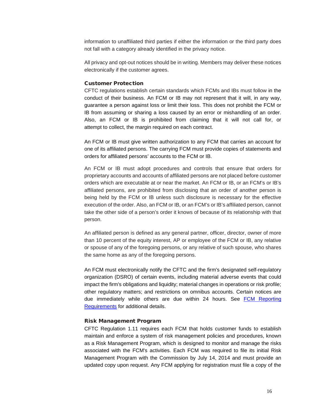information to unaffiliated third parties if either the information or the third party does not fall with a category already identified in the privacy notice.

All privacy and opt-out notices should be in writing. Members may deliver these notices electronically if the customer agrees.

# Customer Protection

CFTC regulations establish certain standards which FCMs and IBs must follow in the conduct of their business. An FCM or IB may not represent that it will, in any way, guarantee a person against loss or limit their loss. This does not prohibit the FCM or IB from assuming or sharing a loss caused by an error or mishandling of an order. Also, an FCM or IB is prohibited from claiming that it will not call for, or attempt to collect, the margin required on each contract.

An FCM or IB must give written authorization to any FCM that carries an account for one of its affiliated persons. The carrying FCM must provide copies of statements and orders for affiliated persons' accounts to the FCM or IB.

An FCM or IB must adopt procedures and controls that ensure that orders for proprietary accounts and accounts of affiliated persons are not placed before customer orders which are executable at or near the market. An FCM or IB, or an FCM's or IB's affiliated persons, are prohibited from disclosing that an order of another person is being held by the FCM or IB unless such disclosure is necessary for the effective execution of the order. Also, an FCM or IB, or an FCM's or IB's affiliated person, cannot take the other side of a person's order it knows of because of its relationship with that person.

An affiliated person is defined as any general partner, officer, director, owner of more than 10 percent of the equity interest, AP or employee of the FCM or IB, any relative or spouse of any of the foregoing persons, or any relative of such spouse, who shares the same home as any of the foregoing persons.

An FCM must electronically notify the CFTC and the firm's designated self-regulatory organization (DSRO) of certain events, including material adverse events that could impact the firm's obligations and liquidity; material changes in operations or risk profile; other regulatory matters; and restrictions on omnibus accounts. Certain notices are due immediately while others are due within 24 hours. See [FCM Reporting](http://www.nfa.futures.org/NFA-compliance/NFA-futures-commission-merchants/fcm-reporting.pdf)  [Requirements](http://www.nfa.futures.org/NFA-compliance/NFA-futures-commission-merchants/fcm-reporting.pdf) for additional details.

## Risk Management Program

CFTC Regulation 1.11 requires each FCM that holds customer funds to establish maintain and enforce a system of risk management policies and procedures, known as a Risk Management Program, which is designed to monitor and manage the risks associated with the FCM's activities. Each FCM was required to file its initial Risk Management Program with the Commission by July 14, 2014 and must provide an updated copy upon request. Any FCM applying for registration must file a copy of the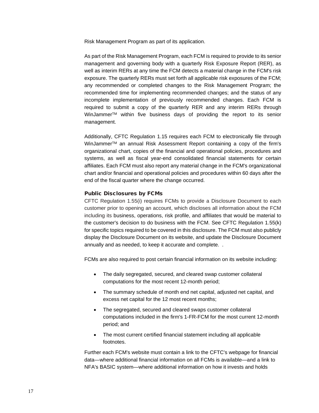Risk Management Program as part of its application.

As part of the Risk Management Program, each FCM is required to provide to its senior management and governing body with a quarterly Risk Exposure Report (RER), as well as interim RERs at any time the FCM detects a material change in the FCM's risk exposure. The quarterly RERs must set forth all applicable risk exposures of the FCM; any recommended or completed changes to the Risk Management Program; the recommended time for implementing recommended changes; and the status of any incomplete implementation of previously recommended changes. Each FCM is required to submit a copy of the quarterly RER and any interim RERs through WinJammerTM within five business days of providing the report to its senior management.

Additionally, CFTC Regulation 1.15 requires each FCM to electronically file through WinJammer<sup>™</sup> an annual Risk Assessment Report containing a copy of the firm's organizational chart, copies of the financial and operational policies, procedures and systems, as well as fiscal year-end consolidated financial statements for certain affiliates. Each FCM must also report any material change in the FCM's organizational chart and/or financial and operational policies and procedures within 60 days after the end of the fiscal quarter where the change occurred.

## Public Disclosures by FCMs

CFTC Regulation 1.55(i) requires FCMs to provide a Disclosure Document to each customer prior to opening an account, which discloses all information about the FCM including its business, operations, risk profile, and affiliates that would be material to the customer's decision to do business with the FCM. See CFTC Regulation 1.55(k) for specific topics required to be covered in this disclosure. The FCM must also publicly display the Disclosure Document on its website, and update the Disclosure Document annually and as needed, to keep it accurate and complete. .

FCMs are also required to post certain financial information on its website including:

- The daily segregated, secured, and cleared swap customer collateral computations for the most recent 12-month period;
- The summary schedule of month end net capital, adjusted net capital, and excess net capital for the 12 most recent months;
- The segregated, secured and cleared swaps customer collateral computations included in the firm's 1-FR-FCM for the most current 12-month period; and
- The most current certified financial statement including all applicable footnotes.

Further each FCM's website must contain a link to the CFTC's webpage for financial data—where additional financial information on all FCMs is available—and a link to NFA's BASIC system—where additional information on how it invests and holds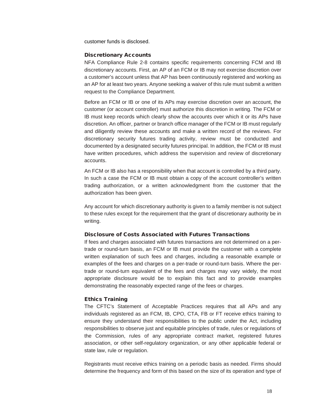customer funds is disclosed.

## Discretionary Accounts

NFA Compliance Rule 2-8 contains specific requirements concerning FCM and IB discretionary accounts. First, an AP of an FCM or IB may not exercise discretion over a customer's account unless that AP has been continuously registered and working as an AP for at least two years. Anyone seeking a waiver of this rule must submit a written request to the Compliance Department.

Before an FCM or IB or one of its APs may exercise discretion over an account, the customer (or account controller) must authorize this discretion in writing. The FCM or IB must keep records which clearly show the accounts over which it or its APs have discretion. An officer, partner or branch office manager of the FCM or IB must regularly and diligently review these accounts and make a written record of the reviews. For discretionary security futures trading activity, review must be conducted and documented by a designated security futures principal. In addition, the FCM or IB must have written procedures, which address the supervision and review of discretionary accounts.

An FCM or IB also has a responsibility when that account is controlled by a third party. In such a case the FCM or IB must obtain a copy of the account controller's written trading authorization, or a written acknowledgment from the customer that the authorization has been given.

Any account for which discretionary authority is given to a family member is not subject to these rules except for the requirement that the grant of discretionary authority be in writing.

## Disclosure of Costs Associated with Futures Transactions

If fees and charges associated with futures transactions are not determined on a pertrade or round-turn basis, an FCM or IB must provide the customer with a complete written explanation of such fees and charges, including a reasonable example or examples of the fees and charges on a per-trade or round-turn basis. Where the pertrade or round-turn equivalent of the fees and charges may vary widely, the most appropriate disclosure would be to explain this fact and to provide examples demonstrating the reasonably expected range of the fees or charges.

## Ethics Training

The CFTC's Statement of Acceptable Practices requires that all APs and any individuals registered as an FCM, IB, CPO, CTA, FB or FT receive ethics training to ensure they understand their responsibilities to the public under the Act, including responsibilities to observe just and equitable principles of trade, rules or regulations of the Commission, rules of any appropriate contract market, registered futures association, or other self-regulatory organization, or any other applicable federal or state law, rule or regulation.

Registrants must receive ethics training on a periodic basis as needed. Firms should determine the frequency and form of this based on the size of its operation and type of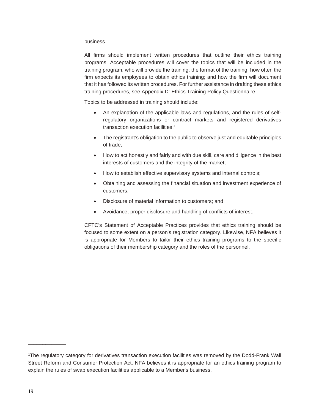# business.

All firms should implement written procedures that outline their ethics training programs. Acceptable procedures will cover the topics that will be included in the training program; who will provide the training; the format of the training; how often the firm expects its employees to obtain ethics training; and how the firm will document that it has followed its written procedures. For further assistance in drafting these ethics training procedures, see Appendix D: Ethics Training Policy Questionnaire.

Topics to be addressed in training should include:

- An explanation of the applicable laws and regulations, and the rules of selfregulatory organizations or contract markets and registered derivatives transaction execution facilities;1
- The registrant's obligation to the public to observe just and equitable principles of trade;
- How to act honestly and fairly and with due skill, care and diligence in the best interests of customers and the integrity of the market;
- How to establish effective supervisory systems and internal controls;
- Obtaining and assessing the financial situation and investment experience of customers;
- Disclosure of material information to customers; and
- Avoidance, proper disclosure and handling of conflicts of interest.

CFTC's Statement of Acceptable Practices provides that ethics training should be focused to some extent on a person's registration category. Likewise, NFA believes it is appropriate for Members to tailor their ethics training programs to the specific obligations of their membership category and the roles of the personnel.

\_\_\_\_\_\_\_\_\_\_\_\_\_

<sup>1</sup>The regulatory category for derivatives transaction execution facilities was removed by the Dodd-Frank Wall Street Reform and Consumer Protection Act. NFA believes it is appropriate for an ethics training program to explain the rules of swap execution facilities applicable to a Member's business.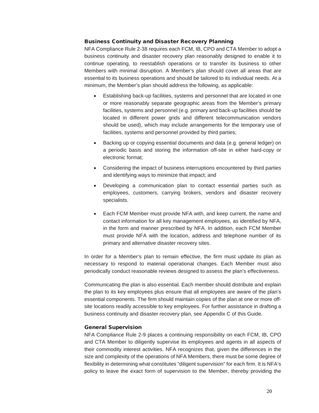# Business Continuity and Disaster Recovery Planning

NFA Compliance Rule 2-38 requires each FCM, IB, CPO and CTA Member to adopt a business continuity and disaster recovery plan reasonably designed to enable it to continue operating, to reestablish operations or to transfer its business to other Members with minimal disruption. A Member's plan should cover all areas that are essential to its business operations and should be tailored to its individual needs. At a minimum, the Member's plan should address the following, as applicable:

- Establishing back-up facilities, systems and personnel that are located in one or more reasonably separate geographic areas from the Member's primary facilities, systems and personnel (e.g. primary and back-up facilities should be located in different power grids and different telecommunication vendors should be used), which may include arrangements for the temporary use of facilities, systems and personnel provided by third parties;
- Backing up or copying essential documents and data (e.g. general ledger) on a periodic basis and storing the information off-site in either hard-copy or electronic format;
- Considering the impact of business interruptions encountered by third parties and identifying ways to minimize that impact; and
- Developing a communication plan to contact essential parties such as employees, customers, carrying brokers, vendors and disaster recovery specialists.
- Each FCM Member must provide NFA with, and keep current, the name and contact information for all key management employees, as identified by NFA, in the form and manner prescribed by NFA. In addition, each FCM Member must provide NFA with the location, address and telephone number of its primary and alternative disaster recovery sites.

In order for a Member's plan to remain effective, the firm must update its plan as necessary to respond to material operational changes. Each Member must also periodically conduct reasonable reviews designed to assess the plan's effectiveness.

Communicating the plan is also essential. Each member should distribute and explain the plan to its key employees plus ensure that all employees are aware of the plan's essential components. The firm should maintain copies of the plan at one or more offsite locations readily accessible to key employees. For further assistance in drafting a business continuity and disaster recovery plan, see Appendix C of this Guide.

# General Supervision

NFA Compliance Rule 2-9 places a continuing responsibility on each FCM, IB, CPO and CTA Member to diligently supervise its employees and agents in all aspects of their commodity interest activities. NFA recognizes that, given the differences in the size and complexity of the operations of NFA Members, there must be some degree of flexibility in determining what constitutes "diligent supervision" for each firm. It is NFA's policy to leave the exact form of supervision to the Member, thereby providing the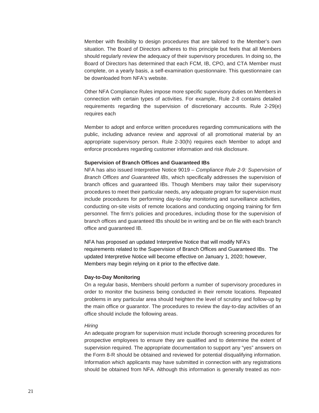Member with flexibility to design procedures that are tailored to the Member's own situation. The Board of Directors adheres to this principle but feels that all Members should regularly review the adequacy of their supervisory procedures. In doing so, the Board of Directors has determined that each FCM, IB, CPO, and CTA Member must complete, on a yearly basis, a self-examination questionnaire. This questionnaire can be downloaded from NFA's website.

Other NFA Compliance Rules impose more specific supervisory duties on Members in connection with certain types of activities. For example, Rule 2-8 contains detailed requirements regarding the supervision of discretionary accounts. Rule 2-29(e) requires each

Member to adopt and enforce written procedures regarding communications with the public, including advance review and approval of all promotional material by an appropriate supervisory person. Rule 2-30(h) requires each Member to adopt and enforce procedures regarding customer information and risk disclosure.

#### **Supervision of Branch Offices and Guaranteed IBs**

NFA has also issued Interpretive Notice 9019 – *Compliance Rule 2-9: Supervision of Branch Offices and Guaranteed IBs*, which specifically addresses the supervision of branch offices and guaranteed IBs. Though Members may tailor their supervisory procedures to meet their particular needs, any adequate program for supervision must include procedures for performing day-to-day monitoring and surveillance activities, conducting on-site visits of remote locations and conducting ongoing training for firm personnel. The firm's policies and procedures, including those for the supervision of branch offices and guaranteed IBs should be in writing and be on file with each branch office and guaranteed IB.

NFA has proposed an updated Interpretive Notice that will modify NFA's requirements related to the Supervision of Branch Offices and Guaranteed IBs. The updated Interpretive Notice will become effective on January 1, 2020; however, Members may begin relying on it prior to the effective date.

#### **Day-to-Day Monitoring**

On a regular basis, Members should perform a number of supervisory procedures in order to monitor the business being conducted in their remote locations. Repeated problems in any particular area should heighten the level of scrutiny and follow-up by the main office or guarantor. The procedures to review the day-to-day activities of an office should include the following areas.

#### *Hiring*

An adequate program for supervision must include thorough screening procedures for prospective employees to ensure they are qualified and to determine the extent of supervision required. The appropriate documentation to support any "yes" answers on the Form 8-R should be obtained and reviewed for potential disqualifying information. Information which applicants may have submitted in connection with any registrations should be obtained from NFA. Although this information is generally treated as non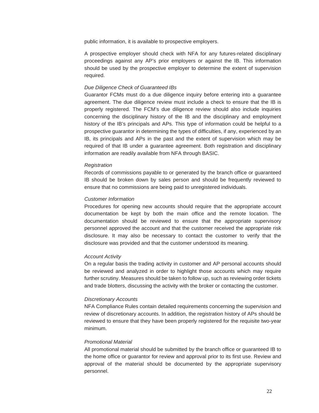public information, it is available to prospective employers.

A prospective employer should check with NFA for any futures-related disciplinary proceedings against any AP's prior employers or against the IB. This information should be used by the prospective employer to determine the extent of supervision required.

## *Due Diligence Check of Guaranteed IBs*

Guarantor FCMs must do a due diligence inquiry before entering into a guarantee agreement. The due diligence review must include a check to ensure that the IB is properly registered. The FCM's due diligence review should also include inquiries concerning the disciplinary history of the IB and the disciplinary and employment history of the IB's principals and APs. This type of information could be helpful to a prospective guarantor in determining the types of difficulties, if any, experienced by an IB, its principals and APs in the past and the extent of supervision which may be required of that IB under a guarantee agreement. Both registration and disciplinary information are readily available from NFA through BASIC.

#### *Registration*

Records of commissions payable to or generated by the branch office or guaranteed IB should be broken down by sales person and should be frequently reviewed to ensure that no commissions are being paid to unregistered individuals.

#### *Customer Information*

Procedures for opening new accounts should require that the appropriate account documentation be kept by both the main office and the remote location. The documentation should be reviewed to ensure that the appropriate supervisory personnel approved the account and that the customer received the appropriate risk disclosure. It may also be necessary to contact the customer to verify that the disclosure was provided and that the customer understood its meaning.

#### *Account Activity*

On a regular basis the trading activity in customer and AP personal accounts should be reviewed and analyzed in order to highlight those accounts which may require further scrutiny. Measures should be taken to follow up, such as reviewing order tickets and trade blotters, discussing the activity with the broker or contacting the customer.

# *Discretionary Accounts*

NFA Compliance Rules contain detailed requirements concerning the supervision and review of discretionary accounts. In addition, the registration history of APs should be reviewed to ensure that they have been properly registered for the requisite two-year minimum.

# *Promotional Material*

All promotional material should be submitted by the branch office or guaranteed IB to the home office or guarantor for review and approval prior to its first use. Review and approval of the material should be documented by the appropriate supervisory personnel.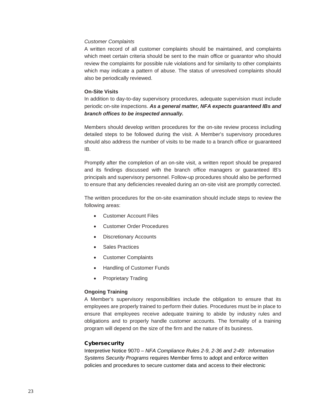# *Customer Complaints*

A written record of all customer complaints should be maintained, and complaints which meet certain criteria should be sent to the main office or guarantor who should review the complaints for possible rule violations and for similarity to other complaints which may indicate a pattern of abuse. The status of unresolved complaints should also be periodically reviewed.

# **On-Site Visits**

In addition to day-to-day supervisory procedures, adequate supervision must include periodic on-site inspections. *As a general matter, NFA expects guaranteed IBs and branch offices to be inspected annually.*

Members should develop written procedures for the on-site review process including detailed steps to be followed during the visit. A Member's supervisory procedures should also address the number of visits to be made to a branch office or guaranteed IB.

Promptly after the completion of an on-site visit, a written report should be prepared and its findings discussed with the branch office managers or guaranteed IB's principals and supervisory personnel. Follow-up procedures should also be performed to ensure that any deficiencies revealed during an on-site visit are promptly corrected.

The written procedures for the on-site examination should include steps to review the following areas:

- **Customer Account Files**
- Customer Order Procedures
- Discretionary Accounts
- Sales Practices
- Customer Complaints
- Handling of Customer Funds
- Proprietary Trading

# **Ongoing Training**

A Member's supervisory responsibilities include the obligation to ensure that its employees are properly trained to perform their duties. Procedures must be in place to ensure that employees receive adequate training to abide by industry rules and obligations and to properly handle customer accounts. The formality of a training program will depend on the size of the firm and the nature of its business.

# **Cybersecurity**

Interpretive Notice 9070 – *NFA Compliance Rules 2-9, 2-36 and 2-49: Information Systems Security Programs* requires Member firms to adopt and enforce written policies and procedures to secure customer data and access to their electronic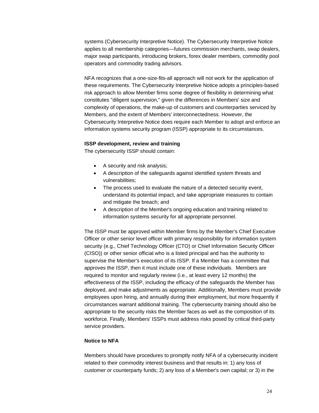systems (Cybersecurity Interpretive Notice). The Cybersecurity Interpretive Notice applies to all membership categories—futures commission merchants, swap dealers, major swap participants, introducing brokers, forex dealer members, commodity pool operators and commodity trading advisors.

NFA recognizes that a one-size-fits-all approach will not work for the application of these requirements. The Cybersecurity Interpretive Notice adopts a principles-based risk approach to allow Member firms some degree of flexibility in determining what constitutes "diligent supervision," given the differences in Members' size and complexity of operations, the make-up of customers and counterparties serviced by Members, and the extent of Members' interconnectedness. However, the Cybersecurity Interpretive Notice does require each Member to adopt and enforce an information systems security program (ISSP) appropriate to its circumstances.

# **ISSP development, review and training**

The cybersecurity ISSP should contain:

- A security and risk analysis;
- A description of the safeguards against identified system threats and vulnerabilities;
- The process used to evaluate the nature of a detected security event, understand its potential impact, and take appropriate measures to contain and mitigate the breach; and
- A description of the Member's ongoing education and training related to information systems security for all appropriate personnel.

The ISSP must be approved within Member firms by the Member's Chief Executive Officer or other senior level officer with primary responsibility for information system security (e.g., Chief Technology Officer (CTO) or Chief Information Security Officer (CISO)) or other senior official who is a listed principal and has the authority to supervise the Member's execution of its ISSP. If a Member has a committee that approves the ISSP, then it must include one of these individuals. Members are required to monitor and regularly review (i.e., at least every 12 months) the effectiveness of the ISSP, including the efficacy of the safeguards the Member has deployed, and make adjustments as appropriate. Additionally, Members must provide employees upon hiring, and annually during their employment, but more frequently if circumstances warrant additional training. The cybersecurity training should also be appropriate to the security risks the Member faces as well as the composition of its workforce. Finally, Members' ISSPs must address risks posed by critical third-party service providers.

### **Notice to NFA**

Members should have procedures to promptly notify NFA of a cybersecurity incident related to their commodity interest business and that results in: 1) any loss of customer or counterparty funds; 2) any loss of a Member's own capital; or 3) in the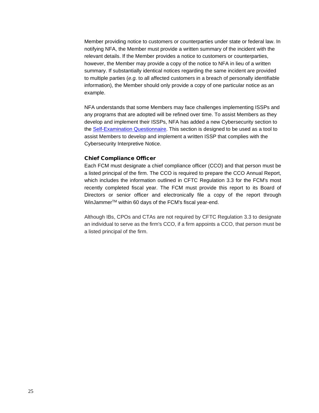Member providing notice to customers or counterparties under state or federal law. In notifying NFA, the Member must provide a written summary of the incident with the relevant details. If the Member provides a notice to customers or counterparties, however, the Member may provide a copy of the notice to NFA in lieu of a written summary. If substantially identical notices regarding the same incident are provided to multiple parties (*e.g.* to all affected customers in a breach of personally identifiable information), the Member should only provide a copy of one particular notice as an example.

NFA understands that some Members may face challenges implementing ISSPs and any programs that are adopted will be refined over time. To assist Members as they develop and implement their ISSPs, NFA has added a new Cybersecurity section to the [Self-Examination Questionnaire.](http://www.nfa.futures.org/NFA-compliance/publication-library/self-exam-questionnaire.HTML) This section is designed to be used as a tool to assist Members to develop and implement a written ISSP that complies with the Cybersecurity Interpretive Notice.

## Chief Compliance Officer

Each FCM must designate a chief compliance officer (CCO) and that person must be a listed principal of the firm. The CCO is required to prepare the CCO Annual Report, which includes the information outlined in CFTC Regulation 3.3 for the FCM's most recently completed fiscal year. The FCM must provide this report to its Board of Directors or senior officer and electronically file a copy of the report through WinJammerTM within 60 days of the FCM's fiscal year-end.

Although IBs, CPOs and CTAs are not required by CFTC Regulation 3.3 to designate an individual to serve as the firm's CCO, if a firm appoints a CCO, that person must be a listed principal of the firm.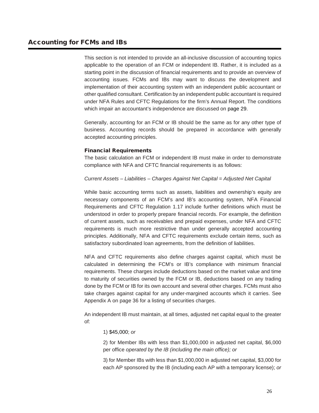This section is not intended to provide an all-inclusive discussion of accounting topics applicable to the operation of an FCM or independent IB. Rather, it is included as a starting point in the discussion of financial requirements and to provide an overview of accounting issues. FCMs and IBs may want to discuss the development and implementation of their accounting system with an independent public accountant or other qualified consultant. Certification by an independent public accountant is required under NFA Rules and CFTC Regulations for the firm's Annual Report. The conditions which impair an accountant's independence are discussed on page 29.

Generally, accounting for an FCM or IB should be the same as for any other type of business. Accounting records should be prepared in accordance with generally accepted accounting principles.

# Financial Requirements

The basic calculation an FCM or independent IB must make in order to demonstrate compliance with NFA and CFTC financial requirements is as follows:

# *Current Assets – Liabilities – Charges Against Net Capital = Adjusted Net Capital*

While basic accounting terms such as assets, liabilities and ownership's equity are necessary components of an FCM's and IB's accounting system, NFA Financial Requirements and CFTC Regulation 1.17 include further definitions which must be understood in order to properly prepare financial records. For example, the definition of current assets, such as receivables and prepaid expenses, under NFA and CFTC requirements is much more restrictive than under generally accepted accounting principles. Additionally, NFA and CFTC requirements exclude certain items, such as satisfactory subordinated loan agreements, from the definition of liabilities.

NFA and CFTC requirements also define charges against capital, which must be calculated in determining the FCM's or IB's compliance with minimum financial requirements. These charges include deductions based on the market value and time to maturity of securities owned by the FCM or IB, deductions based on any trading done by the FCM or IB for its own account and several other charges. FCMs must also take charges against capital for any under-margined accounts which it carries. See Appendix A on page 36 for a listing of securities charges.

An independent IB must maintain, at all times, adjusted net capital equal to the greater of:

# 1) \$45,000; *or*

2) for Member IBs with less than \$1,000,000 in adjusted net capital, \$6,000 per office *operated by the IB (including the main office); or* 

3) for Member IBs with less than \$1,000,000 in adjusted net capital, \$3,000 for each AP sponsored by the IB (including each AP with a temporary license); *or*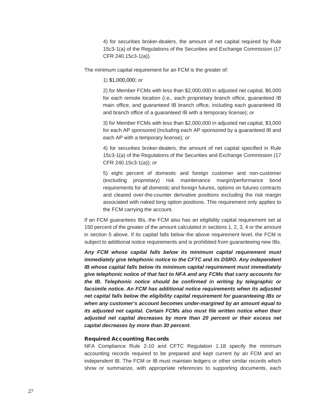4) for securities broker-dealers, the amount of net capital required by Rule 15c3-1(a) of the Regulations of the Securities and Exchange Commission (17 CFR 240.15c3-1(a)).

The minimum capital requirement for an FCM is the greater of:

1) \$1,000,000; *or* 

2) for Member FCMs with less than \$2,000,000 in adjusted net capital, \$6,000 for each remote location (i.e., each proprietary branch office, guaranteed IB main office, and guaranteed IB branch office, including each guaranteed IB and branch office of a guaranteed IB with a temporary license); *or* 

3) for Member FCMs with less than \$2,000,000 in adjusted net capital, \$3,000 for each AP sponsored (including each AP sponsored by a guaranteed IB and each AP with a temporary license); *or* 

4) for securities broker-dealers, the amount of net capital specified in Rule 15c3-1(a) of the Regulations of the Securities and Exchange Commission (17 CFR 240.15c3-1(a)); *or* 

5) eight percent of domestic and foreign customer and non-customer (excluding proprietary) risk maintenance margin/performance bond requirements for all domestic and foreign futures, options on futures contracts and cleared over-the-counter derivative positions excluding the risk margin associated with naked long option positions. This requirement only applies to the FCM carrying the account.

If an FCM guarantees IBs, the FCM also has an eligibility capital requirement set at 150 percent of the greater of the amount calculated in sections 1, 2, 3, 4 or the amount in section 5 above. If its capital falls below the above requirement level, the FCM is subject to additional notice requirements and is prohibited from guaranteeing new IBs.

*Any FCM whose capital falls below its minimum capital requirement must immediately give telephonic notice to the CFTC and its DSRO. Any independent IB whose capital falls below its minimum capital requirement must immediately give telephonic notice of that fact to NFA and any FCMs that carry accounts for the IB. Telephonic notice should be confirmed in writing by telegraphic or facsimile notice. An FCM has additional notice requirements when its adjusted net capital falls below the eligibility capital requirement for guaranteeing IBs or when any customer's account becomes under-margined by an amount equal to its adjusted net capital. Certain FCMs also must file written notice when their adjusted net capital decreases by more than 20 percent or their excess net capital decreases by more than 30 percent.*

# Required Accounting Records

NFA Compliance Rule 2-10 and CFTC Regulation 1.18 specify the minimum accounting records required to be prepared and kept current by an FCM and an independent IB. The FCM or IB must maintain ledgers or other similar records which show or summarize, with appropriate references to supporting documents, each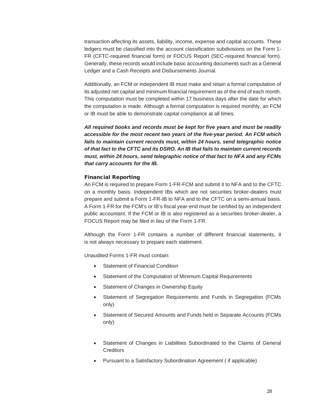transaction affecting its assets, liability, income, expense and capital accounts. These ledgers must be classified into the account classification subdivisions on the Form 1- FR (CFTC-required financial form) or FOCUS Report (SEC-required financial form). Generally, these records would include basic accounting documents such as a General Ledger and a Cash Receipts and Disbursements Journal.

Additionally, an FCM or independent IB must make and retain a formal computation of its adjusted net capital and minimum financial requirement as of the end of each month. This computation must be completed within 17 business days after the date for which the computation is made. Although a formal computation is required monthly, an FCM or IB must be able to demonstrate capital compliance at all times.

*All required books and records must be kept for five years and must be readily accessible for the most recent two years of the five-year period. An FCM which fails to maintain current records must, within 24 hours, send telegraphic notice of that fact to the CFTC and its DSRO. An IB that fails to maintain current records must, within 24 hours, send telegraphic notice of that fact to NFA and any FCMs that carry accounts for the IB.* 

## Financial Reporting

An FCM is required to prepare Form 1-FR-FCM and submit it to NFA and to the CFTC on a monthly basis. Independent IBs which are not securities broker-dealers must prepare and submit a Form 1-FR-IB to NFA and to the CFTC on a semi-annual basis. A Form 1-FR for the FCM's or IB's fiscal year-end must be certified by an independent public accountant. If the FCM or IB is also registered as a securities broker-dealer, a FOCUS Report may be filed in lieu of the Form 1-FR.

Although the Form 1-FR contains a number of different financial statements, it is not always necessary to prepare each statement.

Unaudited Forms 1-FR must contain:

- Statement of Financial Condition
- Statement of the Computation of Minimum Capital Requirements
- Statement of Changes in Ownership Equity
- Statement of Segregation Requirements and Funds in Segregation (FCMs only)
- Statement of Secured Amounts and Funds held in Separate Accounts (FCMs only)
- Statement of Changes in Liabilities Subordinated to the Claims of General **Creditors**
- Pursuant to a Satisfactory Subordination Agreement ( if applicable)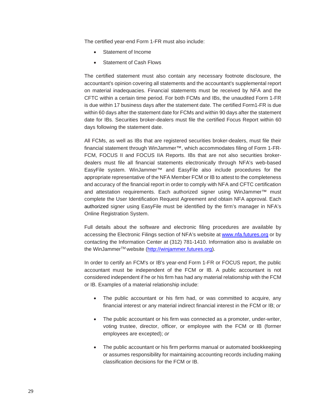The certified year-end Form 1-FR must also include:

- Statement of Income
- Statement of Cash Flows

The certified statement must also contain any necessary footnote disclosure, the accountant's opinion covering all statements and the accountant's supplemental report on material inadequacies. Financial statements must be received by NFA and the CFTC within a certain time period. For both FCMs and IBs, the unaudited Form 1-FR is due within 17 business days after the statement date. The certified Form1-FR is due within 60 days after the statement date for FCMs and within 90 days after the statement date for IBs. Securities broker-dealers must file the certified Focus Report within 60 days following the statement date.

All FCMs, as well as IBs that are registered securities broker-dealers, must file their financial statement through WinJammer™, which accommodates filing of Form 1-FR-FCM, FOCUS II and FOCUS IIA Reports. IBs that are not also securities brokerdealers must file all financial statements electronically through NFA's web-based EasyFile system. WinJammer™ and EasyFile also include procedures for the appropriate representative of the NFA Member FCM or IB to attest to the completeness and accuracy of the financial report in order to comply with NFA and CFTC certification and attestation requirements. Each authorized signer using WinJammer™ must complete the User Identification Request Agreement and obtain NFA approval. Each authorized signer using EasyFile must be identified by the firm's manager in NFA's Online Registration System.

Full details about the software and electronic filing procedures are available by accessing the Electronic Filings section of NFA's website at [www.nfa.futures.org](http://www.nfa.futures.org/NFA-electronic-filings/index.HTML) or by contacting the Information Center at (312) 781-1410. Information also is available on the WinJammer™ website [\(http://winjammer.futures.org\)](http://winjammer.futures.org/).

In order to certify an FCM's or IB's year-end Form 1-FR or FOCUS report, the public accountant must be independent of the FCM or IB. A public accountant is not considered independent if he or his firm has had any material relationship with the FCM or IB. Examples of a material relationship include:

- The public accountant or his firm had, or was committed to acquire, any financial interest or any material indirect financial interest in the FCM or IB; *or*
- The public accountant or his firm was connected as a promoter, under-writer, voting trustee, director, officer, or employee with the FCM or IB (former employees are excepted); *or*
- The public accountant or his firm performs manual or automated bookkeeping or assumes responsibility for maintaining accounting records including making classification decisions for the FCM or IB.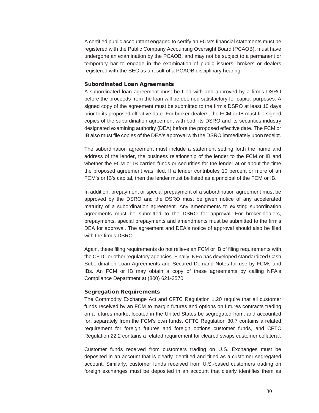A certified public accountant engaged to certify an FCM's financial statements must be registered with the Public Company Accounting Oversight Board (PCAOB), must have undergone an examination by the PCAOB, and may not be subject to a permanent or temporary bar to engage in the examination of public issuers, brokers or dealers registered with the SEC as a result of a PCAOB disciplinary hearing.

#### Subordinated Loan Agreements

A subordinated loan agreement must be filed with and approved by a firm's DSRO before the proceeds from the loan will be deemed satisfactory for capital purposes. A signed copy of the agreement must be submitted to the firm's DSRO at least 10 days prior to its proposed effective date. For broker-dealers, the FCM or IB must file signed copies of the subordination agreement with both its DSRO and its securities industry designated examining authority (DEA) before the proposed effective date. The FCM or IB also must file copies of the DEA's approval with the DSRO immediately upon receipt.

The subordination agreement must include a statement setting forth the name and address of the lender, the business relationship of the lender to the FCM or IB and whether the FCM or IB carried funds or securities for the lender at or about the time the proposed agreement was filed. If a lender contributes 10 percent or more of an FCM's or IB's capital, then the lender must be listed as a principal of the FCM or IB.

In addition, prepayment or special prepayment of a subordination agreement must be approved by the DSRO and the DSRO must be given notice of any accelerated maturity of a subordination agreement. Any amendments to existing subordination agreements must be submitted to the DSRO for approval. For broker-dealers, prepayments, special prepayments and amendments must be submitted to the firm's DEA for approval. The agreement and DEA's notice of approval should also be filed with the firm's DSRO.

Again, these filing requirements do not relieve an FCM or IB of filing requirements with the CFTC or other regulatory agencies. Finally, NFA has developed standardized Cash Subordination Loan Agreements and Secured Demand Notes for use by FCMs and IBs. An FCM or IB may obtain a copy of these agreements by calling NFA's Compliance Department at (800) 621-3570.

## Segregation Requirements

The Commodity Exchange Act and CFTC Regulation 1.20 require that all customer funds received by an FCM to margin futures and options on futures contracts trading on a futures market located in the United States be segregated from, and accounted for, separately from the FCM's own funds. CFTC Regulation 30.7 contains a related requirement for foreign futures and foreign options customer funds, and CFTC Regulation 22.2 contains a related requirement for cleared swaps customer collateral.

Customer funds received from customers trading on U.S. Exchanges must be deposited in an account that is clearly identified and titled as a customer segregated account. Similarly, customer funds received from U.S.-based customers trading on foreign exchanges must be deposited in an account that clearly identifies them as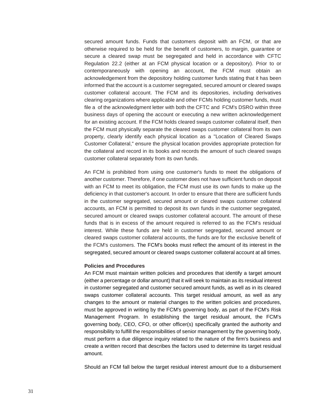secured amount funds. Funds that customers deposit with an FCM, or that are otherwise required to be held for the benefit of customers, to margin, guarantee or secure a cleared swap must be segregated and held in accordance with CFTC Regulation 22.2 (either at an FCM physical location or a depository). Prior to or contemporaneously with opening an account, the FCM must obtain an acknowledgement from the depository holding customer funds stating that it has been informed that the account is a customer segregated, secured amount or cleared swaps customer collateral account. The FCM and its depositories, including derivatives clearing organizations where applicable and other FCMs holding customer funds, must file a of the acknowledgment letter with both the CFTC and FCM's DSRO within three business days of opening the account or executing a new written acknowledgement for an existing account. If the FCM holds cleared swaps customer collateral itself, then the FCM must physically separate the cleared swaps customer collateral from its own property, clearly identify each physical location as a "Location of Cleared Swaps Customer Collateral," ensure the physical location provides appropriate protection for the collateral and record in its books and records the amount of such cleared swaps customer collateral separately from its own funds.

An FCM is prohibited from using one customer's funds to meet the obligations of another customer. Therefore, if one customer does not have sufficient funds on deposit with an FCM to meet its obligation, the FCM must use its own funds to make up the deficiency in that customer's account. In order to ensure that there are sufficient funds in the customer segregated, secured amount or cleared swaps customer collateral accounts, an FCM is permitted to deposit its own funds in the customer segregated, secured amount or cleared swaps customer collateral account. The amount of these funds that is in excess of the amount required is referred to as the FCM's residual interest. While these funds are held in customer segregated, secured amount or cleared swaps customer collateral accounts, the funds are for the exclusive benefit of the FCM's customers. The FCM's books must reflect the amount of its interest in the segregated, secured amount or cleared swaps customer collateral account at all times.

#### **Policies and Procedures**

An FCM must maintain written policies and procedures that identify a target amount (either a percentage or dollar amount) that it will seek to maintain as its residual interest in customer segregated and customer secured amount funds, as well as in its cleared swaps customer collateral accounts. This target residual amount, as well as any changes to the amount or material changes to the written policies and procedures, must be approved in writing by the FCM's governing body, as part of the FCM's Risk Management Program. In establishing the target residual amount, the FCM's governing body, CEO, CFO, or other officer(s) specifically granted the authority and responsibility to fulfill the responsibilities of senior management by the governing body, must perform a due diligence inquiry related to the nature of the firm's business and create a written record that describes the factors used to determine its target residual amount.

Should an FCM fall below the target residual interest amount due to a disbursement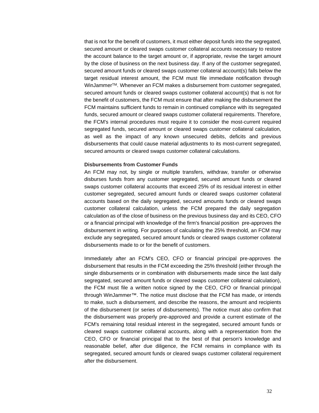that is not for the benefit of customers, it must either deposit funds into the segregated, secured amount or cleared swaps customer collateral accounts necessary to restore the account balance to the target amount or, if appropriate, revise the target amount by the close of business on the next business day. If any of the customer segregated, secured amount funds or cleared swaps customer collateral account(s) falls below the target residual interest amount, the FCM must file immediate notification through WinJammer™. Whenever an FCM makes a disbursement from customer segregated, secured amount funds or cleared swaps customer collateral account(s) that is not for the benefit of customers, the FCM must ensure that after making the disbursement the FCM maintains sufficient funds to remain in continued compliance with its segregated funds, secured amount or cleared swaps customer collateral requirements. Therefore, the FCM's internal procedures must require it to consider the most-current required segregated funds, secured amount or cleared swaps customer collateral calculation, as well as the impact of any known unsecured debits, deficits and previous disbursements that could cause material adjustments to its most-current segregated, secured amounts or cleared swaps customer collateral calculations.

#### **Disbursements from Customer Funds**

An FCM may not, by single or multiple transfers, withdraw, transfer or otherwise disburses funds from any customer segregated, secured amount funds or cleared swaps customer collateral accounts that exceed 25% of its residual interest in either customer segregated, secured amount funds or cleared swaps customer collateral accounts based on the daily segregated, secured amounts funds or cleared swaps customer collateral calculation, unless the FCM prepared the daily segregation calculation as of the close of business on the previous business day and its CEO, CFO or a financial principal with knowledge of the firm's financial position pre-approves the disbursement in writing. For purposes of calculating the 25% threshold, an FCM may exclude any segregated, secured amount funds or cleared swaps customer collateral disbursements made to or for the benefit of customers.

Immediately after an FCM's CEO, CFO or financial principal pre-approves the disbursement that results in the FCM exceeding the 25% threshold (either through the single disbursements or in combination with disbursements made since the last daily segregated, secured amount funds or cleared swaps customer collateral calculation), the FCM must file a written notice signed by the CEO, CFO or financial principal through WinJammer™. The notice must disclose that the FCM has made, or intends to make, such a disbursement, and describe the reasons, the amount and recipients of the disbursement (or series of disbursements). The notice must also confirm that the disbursement was properly pre-approved and provide a current estimate of the FCM's remaining total residual interest in the segregated, secured amount funds or cleared swaps customer collateral accounts, along with a representation from the CEO, CFO or financial principal that to the best of that person's knowledge and reasonable belief, after due diligence, the FCM remains in compliance with its segregated, secured amount funds or cleared swaps customer collateral requirement after the disbursement.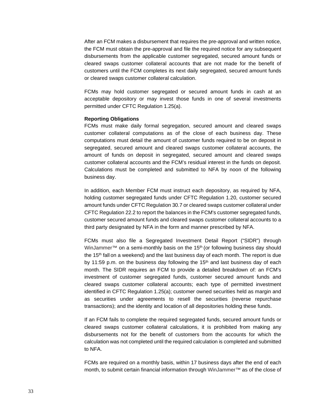After an FCM makes a disbursement that requires the pre-approval and written notice, the FCM must obtain the pre-approval and file the required notice for any subsequent disbursements from the applicable customer segregated, secured amount funds or cleared swaps customer collateral accounts that are not made for the benefit of customers until the FCM completes its next daily segregated, secured amount funds or cleared swaps customer collateral calculation.

FCMs may hold customer segregated or secured amount funds in cash at an acceptable depository or may invest those funds in one of several investments permitted under CFTC Regulation 1.25(a).

### **Reporting Obligations**

FCMs must make daily formal segregation, secured amount and cleared swaps customer collateral computations as of the close of each business day. These computations must detail the amount of customer funds required to be on deposit in segregated, secured amount and cleared swaps customer collateral accounts, the amount of funds on deposit in segregated, secured amount and cleared swaps customer collateral accounts and the FCM's residual interest in the funds on deposit. Calculations must be completed and submitted to NFA by noon of the following business day.

In addition, each Member FCM must instruct each depository, as required by NFA, holding customer segregated funds under CFTC Regulation 1.20, customer secured amount funds under CFTC Regulation 30.7 or cleared swaps customer collateral under CFTC Regulation 22.2 to report the balances in the FCM's customer segregated funds, customer secured amount funds and cleared swaps customer collateral accounts to a third party designated by NFA in the form and manner prescribed by NFA.

FCMs must also file a Segregated Investment Detail Report ("SIDR") through WinJammer™ on a semi-monthly basis on the 15<sup>th</sup> (or following business day should the 15th fall on a weekend) and the last business day of each month. The report is due by 11:59 p.m. on the business day following the  $15<sup>th</sup>$  and last business day of each month. The SIDR requires an FCM to provide a detailed breakdown of: an FCM's investment of customer segregated funds, customer secured amount funds and cleared swaps customer collateral accounts; each type of permitted investment identified in CFTC Regulation 1.25(a); customer owned securities held as margin and as securities under agreements to resell the securities (reverse repurchase transactions); and the identity and location of all depositories holding these funds.

If an FCM fails to complete the required segregated funds, secured amount funds or cleared swaps customer collateral calculations, it is prohibited from making any disbursements not for the benefit of customers from the accounts for which the calculation was not completed until the required calculation is completed and submitted to NFA.

FCMs are required on a monthly basis, within 17 business days after the end of each month, to submit certain financial information through WinJammer™ as of the close of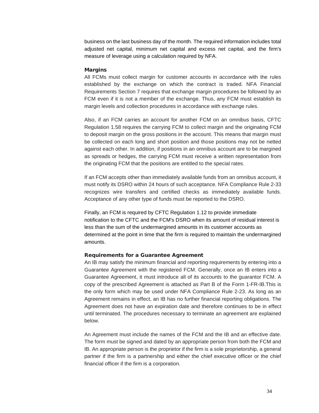business on the last business day of the month. The required information includes total adjusted net capital, minimum net capital and excess net capital, and the firm's measure of leverage using a calculation required by NFA.

### **Margins**

All FCMs must collect margin for customer accounts in accordance with the rules established by the exchange on which the contract is traded. NFA Financial Requirements Section 7 requires that exchange margin procedures be followed by an FCM even if it is not a member of the exchange. Thus, any FCM must establish its margin levels and collection procedures in accordance with exchange rules.

Also, if an FCM carries an account for another FCM on an omnibus basis, CFTC Regulation 1.58 requires the carrying FCM to collect margin and the originating FCM to deposit margin on the gross positions in the account. This means that margin must be collected on each long and short position and those positions may not be netted against each other. In addition, if positions in an omnibus account are to be margined as spreads or hedges, the carrying FCM must receive a written representation from the originating FCM that the positions are entitled to the special rates.

If an FCM accepts other than immediately available funds from an omnibus account, it must notify its DSRO within 24 hours of such acceptance. NFA Compliance Rule 2-33 recognizes wire transfers and certified checks as immediately available funds. Acceptance of any other type of funds must be reported to the DSRO.

Finally, an FCM is required by CFTC Regulation 1.12 to provide immediate notification to the CFTC and the FCM's DSRO when its amount of residual interest is less than the sum of the undermargined amounts in its customer accounts as determined at the point in time that the firm is required to maintain the undermargined amounts.

### Requirements for a Guarantee Agreement

An IB may satisfy the minimum financial and reporting requirements by entering into a Guarantee Agreement with the registered FCM. Generally, once an IB enters into a Guarantee Agreement, it must introduce all of its accounts to the guarantor FCM. A copy of the prescribed Agreement is attached as Part B of the Form 1-FR-IB.This is the only form which may be used under NFA Compliance Rule 2-23. As long as an Agreement remains in effect, an IB has no further financial reporting obligations. The Agreement does not have an expiration date and therefore continues to be in effect until terminated. The procedures necessary to terminate an agreement are explained below.

An Agreement must include the names of the FCM and the IB and an effective date. The form must be signed and dated by an appropriate person from both the FCM and IB. An appropriate person is the proprietor if the firm is a sole proprietorship, a general partner if the firm is a partnership and either the chief executive officer or the chief financial officer if the firm is a corporation.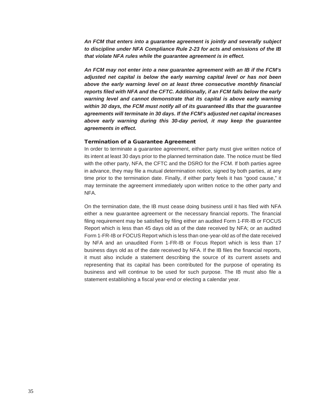*An FCM that enters into a guarantee agreement is jointly and severally subject to discipline under NFA Compliance Rule 2-23 for acts and omissions of the IB that violate NFA rules while the guarantee agreement is in effect.* 

*An FCM may not enter into a new guarantee agreement with an IB if the FCM's adjusted net capital is below the early warning capital level or has not been above the early warning level on at least three consecutive monthly financial reports filed with NFA and the CFTC. Additionally, if an FCM falls below the early warning level and cannot demonstrate that its capital is above early warning within 30 days, the FCM must notify all of its guaranteed IBs that the guarantee agreements will terminate in 30 days. If the FCM's adjusted net capital increases above early warning during this 30-day period, it may keep the guarantee agreements in effect.* 

#### Termination of a Guarantee Agreement

In order to terminate a guarantee agreement, either party must give written notice of its intent at least 30 days prior to the planned termination date. The notice must be filed with the other party, NFA, the CFTC and the DSRO for the FCM. If both parties agree in advance, they may file a mutual determination notice, signed by both parties, at any time prior to the termination date. Finally, if either party feels it has "good cause," it may terminate the agreement immediately upon written notice to the other party and NFA.

On the termination date, the IB must cease doing business until it has filed with NFA either a new guarantee agreement or the necessary financial reports. The financial filing requirement may be satisfied by filing either an audited Form 1-FR-IB or FOCUS Report which is less than 45 days old as of the date received by NFA; or an audited Form 1-FR-IB or FOCUS Report which is less than one-year-old as of the date received by NFA and an unaudited Form 1-FR-IB or Focus Report which is less than 17 business days old as of the date received by NFA. If the IB files the financial reports, it must also include a statement describing the source of its current assets and representing that its capital has been contributed for the purpose of operating its business and will continue to be used for such purpose. The IB must also file a statement establishing a fiscal year-end or electing a calendar year.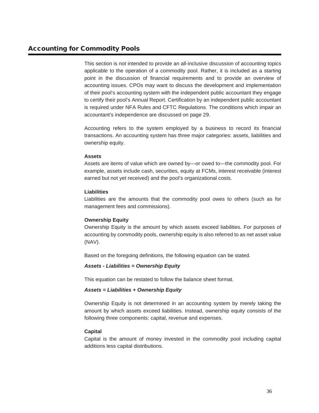This section is not intended to provide an all-inclusive discussion of accounting topics applicable to the operation of a commodity pool. Rather, it is included as a starting point in the discussion of financial requirements and to provide an overview of accounting issues. CPOs may want to discuss the development and implementation of their pool's accounting system with the independent public accountant they engage to certify their pool's Annual Report. Certification by an independent public accountant is required under NFA Rules and CFTC Regulations. The conditions which impair an accountant's independence are discussed on page 29.

Accounting refers to the system employed by a business to record its financial transactions. An accounting system has three major categories: assets, liabilities and ownership equity.

# **Assets**

Assets are items of value which are owned by—or owed to—the commodity pool. For example, assets include cash, securities, equity at FCMs, interest receivable (interest earned but not yet received) and the pool's organizational costs.

# **Liabilities**

Liabilities are the amounts that the commodity pool owes to others (such as for management fees and commissions).

# **Ownership Equity**

Ownership Equity is the amount by which assets exceed liabilities. For purposes of accounting by commodity pools, ownership equity is also referred to as net asset value (NAV).

Based on the foregoing definitions, the following equation can be stated.

# *Assets - Liabilities = Ownership Equity*

This equation can be restated to follow the balance sheet format.

# *Assets = Liabilities + Ownership Equity*

Ownership Equity is not determined in an accounting system by merely taking the amount by which assets exceed liabilities. Instead, ownership equity consists of the following three components: capital, revenue and expenses.

# **Capital**

Capital is the amount of money invested in the commodity pool including capital additions less capital distributions.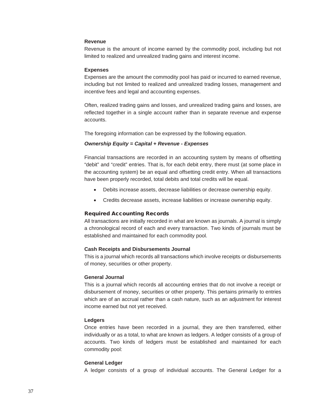### **Revenue**

Revenue is the amount of income earned by the commodity pool, including but not limited to realized and unrealized trading gains and interest income.

#### **Expenses**

Expenses are the amount the commodity pool has paid or incurred to earned revenue, including but not limited to realized and unrealized trading losses, management and incentive fees and legal and accounting expenses.

Often, realized trading gains and losses, and unrealized trading gains and losses, are reflected together in a single account rather than in separate revenue and expense accounts.

The foregoing information can be expressed by the following equation.

## *Ownership Equity = Capital + Revenue - Expenses*

Financial transactions are recorded in an accounting system by means of offsetting "debit" and "credit" entries. That is, for each debit entry, there must (at some place in the accounting system) be an equal and offsetting credit entry. When all transactions have been properly recorded, total debits and total credits will be equal.

- Debits increase assets, decrease liabilities or decrease ownership equity.
- Credits decrease assets, increase liabilities or increase ownership equity.

### Required Accounting Records

All transactions are initially recorded in what are known as journals. A journal is simply a chronological record of each and every transaction. Two kinds of journals must be established and maintained for each commodity pool.

### **Cash Receipts and Disbursements Journal**

This is a journal which records all transactions which involve receipts or disbursements of money, securities or other property.

#### **General Journal**

This is a journal which records all accounting entries that do not involve a receipt or disbursement of money, securities or other property. This pertains primarily to entries which are of an accrual rather than a cash nature, such as an adjustment for interest income earned but not yet received.

### **Ledgers**

Once entries have been recorded in a journal, they are then transferred, either individually or as a total, to what are known as ledgers. A ledger consists of a group of accounts. Two kinds of ledgers must be established and maintained for each commodity pool:

#### **General Ledger**

A ledger consists of a group of individual accounts. The General Ledger for a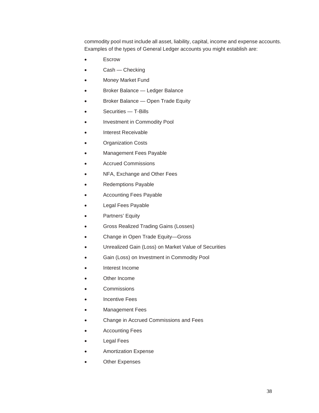commodity pool must include all asset, liability, capital, income and expense accounts. Examples of the types of General Ledger accounts you might establish are:

- **Escrow**
- Cash Checking
- Money Market Fund
- Broker Balance Ledger Balance
- Broker Balance Open Trade Equity
- Securities T-Bills
- Investment in Commodity Pool
- Interest Receivable
- Organization Costs
- Management Fees Payable
- Accrued Commissions
- NFA, Exchange and Other Fees
- Redemptions Payable
- Accounting Fees Payable
- Legal Fees Payable
- Partners' Equity
- Gross Realized Trading Gains (Losses)
- Change in Open Trade Equity—Gross
- Unrealized Gain (Loss) on Market Value of Securities
- Gain (Loss) on Investment in Commodity Pool
- Interest Income
- Other Income
- Commissions
- Incentive Fees
- **Management Fees**
- Change in Accrued Commissions and Fees
- Accounting Fees
- Legal Fees
- Amortization Expense
- **Other Expenses**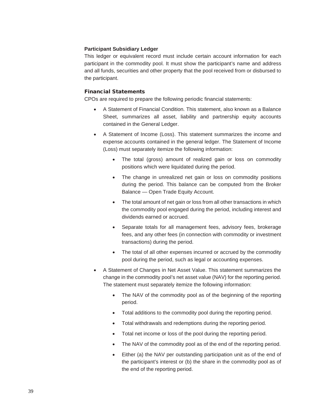## **Participant Subsidiary Ledger**

This ledger or equivalent record must include certain account information for each participant in the commodity pool. It must show the participant's name and address and all funds, securities and other property that the pool received from or disbursed to the participant.

## Financial Statements

CPOs are required to prepare the following periodic financial statements:

- A Statement of Financial Condition. This statement, also known as a Balance Sheet, summarizes all asset, liability and partnership equity accounts contained in the General Ledger.
- A Statement of Income (Loss). This statement summarizes the income and expense accounts contained in the general ledger. The Statement of Income (Loss) must separately itemize the following information:
	- The total (gross) amount of realized gain or loss on commodity positions which were liquidated during the period.
	- The change in unrealized net gain or loss on commodity positions during the period. This balance can be computed from the Broker Balance — Open Trade Equity Account.
	- The total amount of net gain or loss from all other transactions in which the commodity pool engaged during the period, including interest and dividends earned or accrued.
	- Separate totals for all management fees, advisory fees, brokerage fees, and any other fees (in connection with commodity or investment transactions) during the period.
	- The total of all other expenses incurred or accrued by the commodity pool during the period, such as legal or accounting expenses.
- A Statement of Changes in Net Asset Value. This statement summarizes the change in the commodity pool's net asset value (NAV) for the reporting period. The statement must separately itemize the following information:
	- The NAV of the commodity pool as of the beginning of the reporting period.
	- Total additions to the commodity pool during the reporting period.
	- Total withdrawals and redemptions during the reporting period.
	- Total net income or loss of the pool during the reporting period.
	- The NAV of the commodity pool as of the end of the reporting period.
	- Either (a) the NAV per outstanding participation unit as of the end of the participant's interest or (b) the share in the commodity pool as of the end of the reporting period.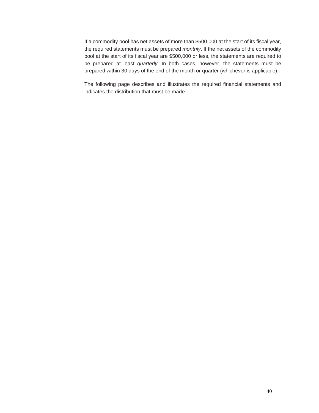If a commodity pool has net assets of more than \$500,000 at the start of its fiscal year, the required statements must be prepared *monthly*. If the net assets of the commodity pool at the start of its fiscal year are \$500,000 or less, the statements are required to be prepared at least *quarterly*. In both cases, however, the statements must be prepared within 30 days of the end of the month or quarter (whichever is applicable).

The following page describes and illustrates the required financial statements and indicates the distribution that must be made.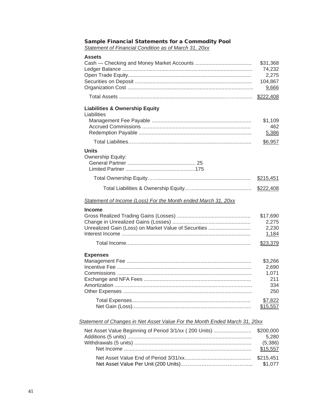| Assets                                                                     | \$31,368<br>74,232<br>2,275<br>104,867<br>9,666 |
|----------------------------------------------------------------------------|-------------------------------------------------|
|                                                                            | \$222,408                                       |
| <b>Liabilities &amp; Ownership Equity</b><br>Liabilities                   | \$1,109<br>462<br>5,386                         |
|                                                                            | \$6,957                                         |
| <b>Units</b><br>Ownership Equity:                                          |                                                 |
|                                                                            | \$215,451                                       |
|                                                                            | \$222,408                                       |
| Statement of Income (Loss) For the Month ended March 31, 20xx              |                                                 |
| <b>Income</b><br>Unrealized Gain (Loss) on Market Value of Securities      | \$17,690<br>2,275<br>2,230<br>1,184<br>\$23,379 |
|                                                                            |                                                 |
| <b>Expenses</b>                                                            | \$3,266<br>2,690<br>1,071<br>211<br>334<br>250  |
|                                                                            | \$7,822<br>\$15,557                             |
| Statement of Changes in Net Asset Value For the Month Ended March 31, 20xx |                                                 |
| Net Asset Value Beginning of Period 3/1/xx (200 Units)                     | \$200,000<br>5,280<br>(5,386)<br>\$15,557       |
|                                                                            | \$215,451                                       |

Net Asset Value Per Unit (200 Units)…………………………………... \$1,077

# Sample Financial Statements for a Commodity Pool

*Statement of Financial Condition as of March 31, 20xx*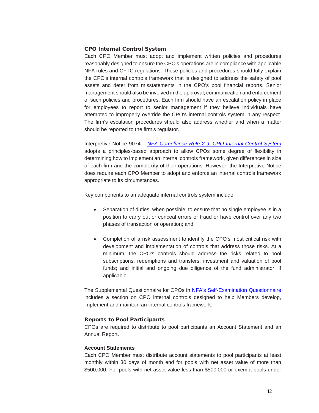### CPO Internal Control System

Each CPO Member must adopt and implement written policies and procedures reasonably designed to ensure the CPO's operations are in compliance with applicable NFA rules and CFTC regulations. These policies and procedures should fully explain the CPO's internal controls framework that is designed to address the safety of pool assets and deter from misstatements in the CPO's pool financial reports. Senior management should also be involved in the approval, communication and enforcement of such policies and procedures. Each firm should have an escalation policy in place for employees to report to senior management if they believe individuals have attempted to improperly override the CPO's internal controls system in any respect. The firm's escalation procedures should also address whether and when a matter should be reported to the firm's regulator.

Interpretive Notice 9074 – *[NFA Compliance Rule 2-9: CPO Internal Control System](https://www.nfa.futures.org/rulebook/rules.aspx?Section=9&RuleID=9074)* adopts a principles-based approach to allow CPOs some degree of flexibility in determining how to implement an internal controls framework, given differences in size of each firm and the complexity of their operations. However, the Interpretive Notice does require each CPO Member to adopt and enforce an internal controls framework appropriate to its circumstances.

Key components to an adequate internal controls system include:

- Separation of duties, when possible, to ensure that no single employee is in a position to carry out or conceal errors or fraud or have control over any two phases of transaction or operation; and
- Completion of a risk assessment to identify the CPO's most critical risk with development and implementation of controls that address those risks. At a minimum, the CPO's controls should address the risks related to pool subscriptions, redemptions and transfers; investment and valuation of pool funds; and initial and ongoing due diligence of the fund administrator, if applicable.

The Supplemental Questionnaire for CPOs in [NFA's Self-Examination Questionnaire](https://www.nfa.futures.org/members/member-resources/files/self-exam-files/self-exam-questionnaire.pdf)  includes a section on CPO internal controls designed to help Members develop, implement and maintain an internal controls framework.

### Reports to Pool Participants

CPOs are required to distribute to pool participants an Account Statement and an Annual Report.

### **Account Statements**

Each CPO Member must distribute account statements to pool participants at least monthly within 30 days of month end for pools with net asset value of more than \$500,000. For pools with net asset value less than \$500,000 or exempt pools under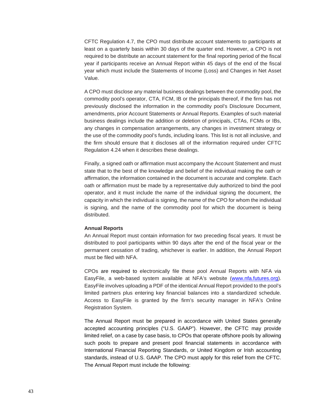CFTC Regulation 4.7, the CPO must distribute account statements to participants at least on a quarterly basis within 30 days of the quarter end. However, a CPO is not required to be distribute an account statement for the final reporting period of the fiscal year if participants receive an Annual Report within 45 days of the end of the fiscal year which must include the Statements of Income (Loss) and Changes in Net Asset Value.

A CPO must disclose any material business dealings between the commodity pool, the commodity pool's operator, CTA, FCM, IB or the principals thereof, if the firm has not previously disclosed the information in the commodity pool's Disclosure Document, amendments, prior Account Statements or Annual Reports. Examples of such material business dealings include the addition or deletion of principals, CTAs, FCMs or IBs, any changes in compensation arrangements, any changes in investment strategy or the use of the commodity pool's funds, including loans. This list is not all inclusive, and the firm should ensure that it discloses all of the information required under CFTC Regulation 4.24 when it describes these dealings.

Finally, a signed oath or affirmation must accompany the Account Statement and must state that to the best of the knowledge and belief of the individual making the oath or affirmation, the information contained in the document is accurate and complete. Each oath or affirmation must be made by a representative duly authorized to bind the pool operator, and it must include the name of the individual signing the document, the capacity in which the individual is signing, the name of the CPO for whom the individual is signing, and the name of the commodity pool for which the document is being distributed.

#### **Annual Reports**

An Annual Report must contain information for two preceding fiscal years. It must be distributed to pool participants within 90 days after the end of the fiscal year or the permanent cessation of trading, whichever is earlier. In addition, the Annual Report must be filed with NFA.

CPOs are required to electronically file these pool Annual Reports with NFA via EasyFile, a web-based system available at NFA's website [\(www.nfa.futures.org\)](https://www.nfa.futures.org/index.html). EasyFile involves uploading a PDF of the identical Annual Report provided to the pool's limited partners plus entering key financial balances into a standardized schedule. Access to EasyFile is granted by the firm's security manager in NFA's Online Registration System.

The Annual Report must be prepared in accordance with United States generally accepted accounting principles ("U.S. GAAP"). However, the CFTC may provide limited relief, on a case by case basis, to CPOs that operate offshore pools by allowing such pools to prepare and present pool financial statements in accordance with International Financial Reporting Standards, or United Kingdom or Irish accounting standards, instead of U.S. GAAP. The CPO must apply for this relief from the CFTC. The Annual Report must include the following: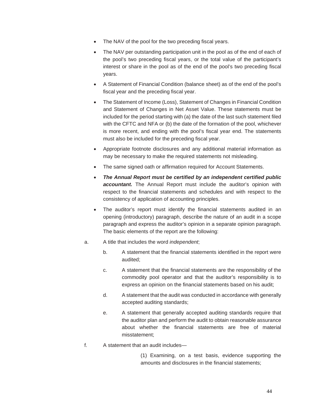- The NAV of the pool for the two preceding fiscal years.
- The NAV per outstanding participation unit in the pool as of the end of each of the pool's two preceding fiscal years, or the total value of the participant's interest or share in the pool as of the end of the pool's two preceding fiscal years.
- A Statement of Financial Condition (balance sheet) as of the end of the pool's fiscal year and the preceding fiscal year.
- The Statement of Income (Loss), Statement of Changes in Financial Condition and Statement of Changes in Net Asset Value. These statements must be included for the period starting with (a) the date of the last such statement filed with the CFTC and NFA or (b) the date of the formation of the pool, whichever is more recent, and ending with the pool's fiscal year end. The statements must also be included for the preceding fiscal year.
- Appropriate footnote disclosures and any additional material information as may be necessary to make the required statements not misleading.
- The same signed oath or affirmation required for Account Statements.
- *The Annual Report must be certified by an independent certified public accountant.* The Annual Report must include the auditor's opinion with respect to the financial statements and schedules and with respect to the consistency of application of accounting principles.
- The auditor's report must identify the financial statements audited in an opening (introductory) paragraph, describe the nature of an audit in a scope paragraph and express the auditor's opinion in a separate opinion paragraph. The basic elements of the report are the following:
- a. A title that includes the word *independent*;
	- b. A statement that the financial statements identified in the report were audited;
	- c. A statement that the financial statements are the responsibility of the commodity pool operator and that the auditor's responsibility is to express an opinion on the financial statements based on his audit;
	- d. A statement that the audit was conducted in accordance with generally accepted auditing standards;
	- e. A statement that generally accepted auditing standards require that the auditor plan and perform the audit to obtain reasonable assurance about whether the financial statements are free of material misstatement;
- f. A statement that an audit includes—
	- (1) Examining, on a test basis, evidence supporting the amounts and disclosures in the financial statements;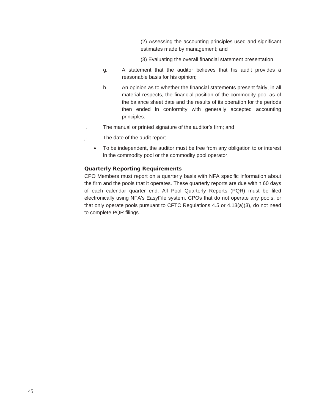(2) Assessing the accounting principles used and significant estimates made by management; and

(3) Evaluating the overall financial statement presentation.

- g. A statement that the auditor believes that his audit provides a reasonable basis for his opinion;
- h. An opinion as to whether the financial statements present fairly, in all material respects, the financial position of the commodity pool as of the balance sheet date and the results of its operation for the periods then ended in conformity with generally accepted accounting principles.
- i. The manual or printed signature of the auditor's firm; and
- j. The date of the audit report.
	- To be independent, the auditor must be free from any obligation to or interest in the commodity pool or the commodity pool operator.

### Quarterly Reporting Requirements

CPO Members must report on a quarterly basis with NFA specific information about the firm and the pools that it operates. These quarterly reports are due within 60 days of each calendar quarter end. All Pool Quarterly Reports (PQR) must be filed electronically using NFA's EasyFile system. CPOs that do not operate any pools, or that only operate pools pursuant to CFTC Regulations  $4.5$  or  $4.13(a)(3)$ , do not need to complete PQR filings.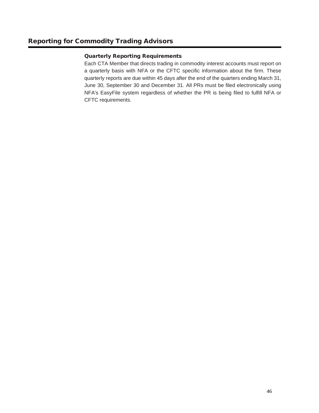# Quarterly Reporting Requirements

Each CTA Member that directs trading in commodity interest accounts must report on a quarterly basis with NFA or the CFTC specific information about the firm. These quarterly reports are due within 45 days after the end of the quarters ending March 31, June 30, September 30 and December 31. All PRs must be filed electronically using NFA's EasyFile system regardless of whether the PR is being filed to fulfill NFA or CFTC requirements.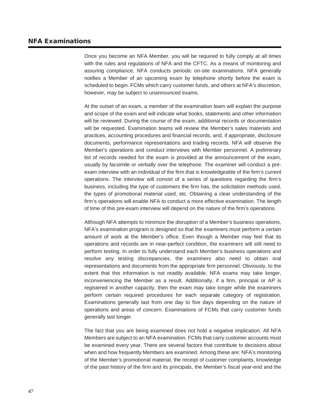# NFA Examinations

Once you become an NFA Member, you will be required to fully comply at all times with the rules and regulations of NFA and the CFTC. As a means of monitoring and assuring compliance, NFA conducts periodic on-site examinations. NFA generally notifies a Member of an upcoming exam by telephone shortly before the exam is scheduled to begin. FCMs which carry customer funds, and others at NFA's discretion, however, may be subject to unannounced exams.

At the outset of an exam, a member of the examination team will explain the purpose and scope of the exam and will indicate what books, statements and other information will be reviewed. During the course of the exam, additional records or documentation will be requested. Examination teams will review the Member's sales materials and practices, accounting procedures and financial records, and, if appropriate, disclosure documents, performance representations and trading records. NFA will observe the Member's operations and conduct interviews with Member personnel. A preliminary list of records needed for the exam is provided at the announcement of the exam, usually by facsimile or verbally over the telephone. The examiner will conduct a preexam interview with an individual of the firm that is knowledgeable of the firm's current operations. The interview will consist of a series of questions regarding the firm's business, including the type of customers the firm has, the solicitation methods used, the types of promotional material used, etc. Obtaining a clear understanding of the firm's operations will enable NFA to conduct a more effective examination. The length of time of this pre-exam interview will depend on the nature of the firm's operations.

Although NFA attempts to minimize the disruption of a Member's business operations, NFA's examination program is designed so that the examiners must perform a certain amount of work at the Member's office. Even though a Member may feel that its operations and records are in near-perfect condition, the examiners will still need to perform testing. In order to fully understand each Member's business operations and resolve any testing discrepancies, the examiners also need to obtain oral representations and documents from the appropriate firm personnel. Obviously, to the extent that this information is not readily available, NFA exams may take longer, inconveniencing the Member as a result. Additionally, if a firm, principal or AP is registered in another capacity, then the exam may take longer while the examiners perform certain required procedures for each separate category of registration. Examinations generally last from one day to five days depending on the nature of operations and areas of concern. Examinations of FCMs that carry customer funds generally last longer.

The fact that you are being examined does not hold a negative implication. All NFA Members are subject to an NFA examination. FCMs that carry customer accounts must be examined every year. There are several factors that contribute to decisions about when and how frequently Members are examined. Among these are: NFA's monitoring of the Member's promotional material, the receipt of customer complaints, knowledge of the past history of the firm and its principals, the Member's fiscal year-end and the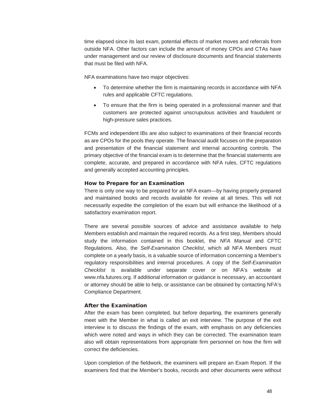time elapsed since its last exam, potential effects of market moves and referrals from outside NFA. Other factors can include the amount of money CPOs and CTAs have under management and our review of disclosure documents and financial statements that must be filed with NFA.

NFA examinations have two major objectives:

- To determine whether the firm is maintaining records in accordance with NFA rules and applicable CFTC regulations.
- To ensure that the firm is being operated in a professional manner and that customers are protected against unscrupulous activities and fraudulent or high-pressure sales practices.

FCMs and independent IBs are also subject to examinations of their financial records as are CPOs for the pools they operate. The financial audit focuses on the preparation and presentation of the financial statement and internal accounting controls. The primary objective of the financial exam is to determine that the financial statements are complete, accurate, and prepared in accordance with NFA rules, CFTC regulations and generally accepted accounting principles.

### How to Prepare for an Examination

There is only one way to be prepared for an NFA exam—by having properly prepared and maintained books and records available for review at all times. This will not necessarily expedite the completion of the exam but will enhance the likelihood of a satisfactory examination report.

There are several possible sources of advice and assistance available to help Members establish and maintain the required records. As a first step, Members should study the information contained in this booklet, the *NFA Manual* and CFTC Regulations. Also, the *Self-Examination Checklist*, which all NFA Members must complete on a yearly basis, is a valuable source of information concerning a Member's regulatory responsibilities and internal procedures. A copy of the *Self-Examination Checklist* is available under separate cover or on NFA's website at www.nfa.futures.org. If additional information or guidance is necessary, an accountant or attorney should be able to help, or assistance can be obtained by contacting NFA's Compliance Department.

#### After the Examination

After the exam has been completed, but before departing, the examiners generally meet with the Member in what is called an exit interview. The purpose of the exit interview is to discuss the findings of the exam, with emphasis on any deficiencies which were noted and ways in which they can be corrected. The examination team also will obtain representations from appropriate firm personnel on how the firm will correct the deficiencies.

Upon completion of the fieldwork, the examiners will prepare an Exam Report. If the examiners find that the Member's books, records and other documents were without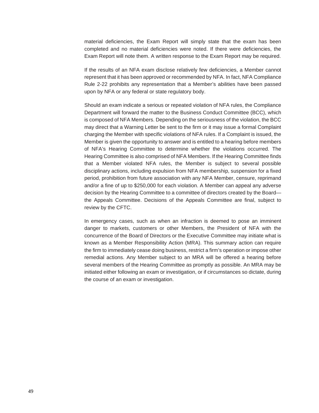material deficiencies, the Exam Report will simply state that the exam has been completed and no material deficiencies were noted. If there were deficiencies, the Exam Report will note them. A written response to the Exam Report may be required.

If the results of an NFA exam disclose relatively few deficiencies, a Member cannot represent that it has been approved or recommended by NFA. In fact, NFA Compliance Rule 2-22 prohibits any representation that a Member's abilities have been passed upon by NFA or any federal or state regulatory body.

Should an exam indicate a serious or repeated violation of NFA rules, the Compliance Department will forward the matter to the Business Conduct Committee (BCC), which is composed of NFA Members. Depending on the seriousness of the violation, the BCC may direct that a Warning Letter be sent to the firm or it may issue a formal Complaint charging the Member with specific violations of NFA rules. If a Complaint is issued, the Member is given the opportunity to answer and is entitled to a hearing before members of NFA's Hearing Committee to determine whether the violations occurred. The Hearing Committee is also comprised of NFA Members. If the Hearing Committee finds that a Member violated NFA rules, the Member is subject to several possible disciplinary actions, including expulsion from NFA membership, suspension for a fixed period, prohibition from future association with any NFA Member, censure, reprimand and/or a fine of up to \$250,000 for each violation. A Member can appeal any adverse decision by the Hearing Committee to a committee of directors created by the Board the Appeals Committee. Decisions of the Appeals Committee are final, subject to review by the CFTC.

In emergency cases, such as when an infraction is deemed to pose an imminent danger to markets, customers or other Members, the President of NFA with the concurrence of the Board of Directors or the Executive Committee may initiate what is known as a Member Responsibility Action (MRA). This summary action can require the firm to immediately cease doing business, restrict a firm's operation or impose other remedial actions. Any Member subject to an MRA will be offered a hearing before several members of the Hearing Committee as promptly as possible. An MRA may be initiated either following an exam or investigation, or if circumstances so dictate, during the course of an exam or investigation.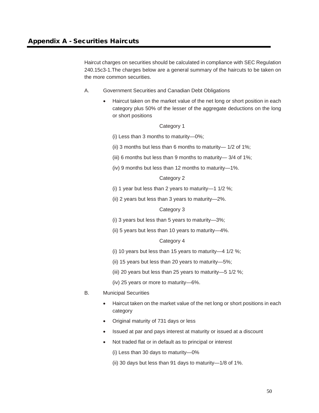Haircut charges on securities should be calculated in compliance with SEC Regulation 240.15c3-1.The charges below are a general summary of the haircuts to be taken on the more common securities.

- A. Government Securities and Canadian Debt Obligations
	- Haircut taken on the market value of the net long or short position in each category plus 50% of the lesser of the aggregate deductions on the long or short positions

### Category 1

(i) Less than 3 months to maturity—0%;

- (ii) 3 months but less than 6 months to maturity— 1/2 of 1%;
- (iii) 6 months but less than 9 months to maturity— 3/4 of 1%;
- (iv) 9 months but less than 12 months to maturity—1%.

### Category 2

- (i) 1 year but less than 2 years to maturity—1 1/2 %;
- (ii) 2 years but less than 3 years to maturity—2%.

## Category 3

- (i) 3 years but less than 5 years to maturity—3%;
- (ii) 5 years but less than 10 years to maturity—4%.

## Category 4

- (i) 10 years but less than 15 years to maturity—4 1/2 %;
- (ii) 15 years but less than 20 years to maturity—5%;
- (iii) 20 years but less than 25 years to maturity—5 1/2 %;
- (iv) 25 years or more to maturity—6%.
- B. Municipal Securities
	- Haircut taken on the market value of the net long or short positions in each category
	- Original maturity of 731 days or less
	- Issued at par and pays interest at maturity or issued at a discount
	- Not traded flat or in default as to principal or interest

(i) Less than 30 days to maturity—0%

(ii) 30 days but less than 91 days to maturity—1/8 of 1%.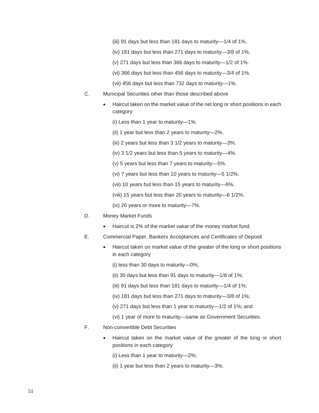- (iii) 91 days but less than 181 days to maturity—1/4 of 1%.
- (iv) 181 days but less than 271 days to maturity—3/8 of 1%.
- (v) 271 days but less than 366 days to maturity—1/2 of 1%.
- (vi) 366 days but less than 456 days to maturity—3/4 of 1%.
- (vii) 456 days but less than 732 days to maturity—1%.
- C. Municipal Securities other than those described above
	- Haircut taken on the market value of the net long or short positions in each category
		- (i) Less than 1 year to maturity—1%.
		- (ii) 1 year but less than 2 years to maturity—2%.
		- (iii) 2 years but less than 3 1/2 years to maturity—3%.
		- (iv) 3 1/2 years but less than 5 years to maturity—4%.
		- (v) 5 years but less than 7 years to maturity—5%.
		- (vi) 7 years but less than 10 years to maturity—5 1/2%.
		- (vii) 10 years but less than 15 years to maturity—6%.
		- (viii) 15 years but less than 20 years to maturity—6 1/2%.
		- (ix) 20 years or more to maturity—7%.
- D. Money Market Funds
	- Haircut is 2% of the market value of the money market fund.
- E. Commercial Paper, Bankers Acceptances and Certificates of Deposit
	- Haircut taken on market value of the greater of the long or short positions in each category
		- (i) less than 30 days to maturity—0%;
		- (ii) 30 days but less than 91 days to maturity—1/8 of 1%;
		- (iii) 91 days but less than 181 days to maturity—1/4 of 1%;
		- (iv) 181 days but less than 271 days to maturity—3/8 of 1%;
		- (v) 271 days but less than 1 year to maturity—1/2 of 1%; and
		- (vi) 1 year of more to maturity—same as Government Securities.
- F. Non-convertible Debt Securities
	- Haircut taken on the market value of the greater of the long or short positions in each category
		- (i) Less than 1 year to maturity—2%;
		- (ii) 1 year but less than 2 years to maturity—3%;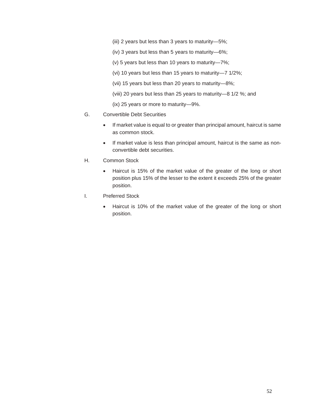- (iii) 2 years but less than 3 years to maturity—5%;
- (iv) 3 years but less than 5 years to maturity—6%;
- (v) 5 years but less than 10 years to maturity—7%;
- (vi) 10 years but less than 15 years to maturity—7 1/2%;
- (vii) 15 years but less than 20 years to maturity—8%;
- (viii) 20 years but less than 25 years to maturity—8 1/2 %; and
- (ix) 25 years or more to maturity—9%.
- G. Convertible Debt Securities
	- If market value is equal to or greater than principal amount, haircut is same as common stock.
	- If market value is less than principal amount, haircut is the same as nonconvertible debt securities.
- H. Common Stock
	- Haircut is 15% of the market value of the greater of the long or short position plus 15% of the lesser to the extent it exceeds 25% of the greater position.
- I. Preferred Stock
	- Haircut is 10% of the market value of the greater of the long or short position.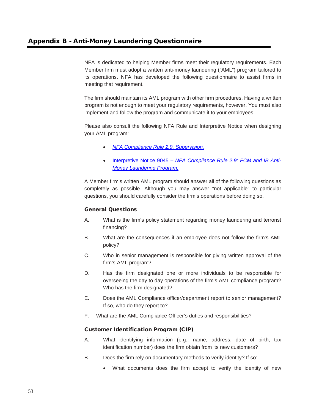NFA is dedicated to helping Member firms meet their regulatory requirements. Each Member firm must adopt a written anti-money laundering ("AML") program tailored to its operations. NFA has developed the following questionnaire to assist firms in meeting that requirement.

The firm should maintain its AML program with other firm procedures. Having a written program is not enough to meet your regulatory requirements, however. You must also implement and follow the program and communicate it to your employees.

Please also consult the following NFA Rule and Interpretive Notice when designing your AML program:

- *[NFA Compliance Rule 2.9. Supervision.](https://www.nfa.futures.org/rulebook/rules.aspx?Section=4&RuleID=RULE%202-9)*
- Interpretive Notice 9045 *– [NFA Compliance Rule 2.9: FCM and IB Anti-](https://www.nfa.futures.org/rulebook/rules.aspx?Section=9&RuleID=9045)[Money Laundering Program.](https://www.nfa.futures.org/rulebook/rules.aspx?Section=9&RuleID=9045)*

A Member firm's written AML program should answer all of the following questions as completely as possible. Although you may answer "not applicable" to particular questions, you should carefully consider the firm's operations before doing so.

# General Questions

- A. What is the firm's policy statement regarding money laundering and terrorist financing?
- B. What are the consequences if an employee does not follow the firm's AML policy?
- C. Who in senior management is responsible for giving written approval of the firm's AML program?
- D. Has the firm designated one or more individuals to be responsible for overseeing the day to day operations of the firm's AML compliance program? Who has the firm designated?
- E. Does the AML Compliance officer/department report to senior management? If so, who do they report to?
- F. What are the AML Compliance Officer's duties and responsibilities?

# Customer Identification Program (CIP)

- A. What identifying information (e.g., name, address, date of birth, tax identification number) does the firm obtain from its new customers?
- B. Does the firm rely on documentary methods to verify identity? If so:
	- What documents does the firm accept to verify the identity of new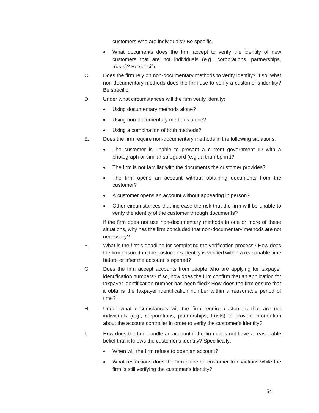customers who are individuals? Be specific.

- What documents does the firm accept to verify the identity of new customers that are not individuals (e.g., corporations, partnerships, trusts)? Be specific.
- C. Does the firm rely on non-documentary methods to verify identity? If so, what non-documentary methods does the firm use to verify a customer's identity? Be specific.
- D. Under what circumstances will the firm verify identity:
	- Using documentary methods alone?
	- Using non-documentary methods alone?
	- Using a combination of both methods?
- E. Does the firm require non-documentary methods in the following situations:
	- The customer is unable to present a current government ID with a photograph or similar safeguard (e.g., a thumbprint)?
	- The firm is not familiar with the documents the customer provides?
	- The firm opens an account without obtaining documents from the customer?
	- A customer opens an account without appearing in person?
	- Other circumstances that increase the risk that the firm will be unable to verify the identity of the customer through documents?

If the firm does not use non-documentary methods in one or more of these situations, why has the firm concluded that non-documentary methods are not necessary?

- F. What is the firm's deadline for completing the verification process? How does the firm ensure that the customer's identity is verified within a reasonable time before or after the account is opened?
- G. Does the firm accept accounts from people who are applying for taxpayer identification numbers? If so, how does the firm confirm that an application for taxpayer identification number has been filed? How does the firm ensure that it obtains the taxpayer identification number within a reasonable period of time?
- H. Under what circumstances will the firm require customers that are not individuals (e.g., corporations, partnerships, trusts) to provide information about the account controller in order to verify the customer's identity?
- I. How does the firm handle an account if the firm does not have a reasonable belief that it knows the customer's identity? Specifically:
	- When will the firm refuse to open an account?
	- What restrictions does the firm place on customer transactions while the firm is still verifying the customer's identity?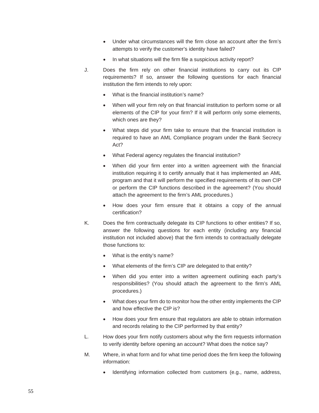- Under what circumstances will the firm close an account after the firm's attempts to verify the customer's identity have failed?
- In what situations will the firm file a suspicious activity report?
- J. Does the firm rely on other financial institutions to carry out its CIP requirements? If so, answer the following questions for each financial institution the firm intends to rely upon:
	- What is the financial institution's name?
	- When will your firm rely on that financial institution to perform some or all elements of the CIP for your firm? If it will perform only some elements, which ones are they?
	- What steps did your firm take to ensure that the financial institution is required to have an AML Compliance program under the Bank Secrecy Act?
	- What Federal agency regulates the financial institution?
	- When did your firm enter into a written agreement with the financial institution requiring it to certify annually that it has implemented an AML program and that it will perform the specified requirements of its own CIP or perform the CIP functions described in the agreement? (You should attach the agreement to the firm's AML procedures.)
	- How does your firm ensure that it obtains a copy of the annual certification?
- K. Does the firm contractually delegate its CIP functions to other entities? If so, answer the following questions for each entity (including any financial institution not included above) that the firm intends to contractually delegate those functions to:
	- What is the entity's name?
	- What elements of the firm's CIP are delegated to that entity?
	- When did you enter into a written agreement outlining each party's responsibilities? (You should attach the agreement to the firm's AML procedures.)
	- What does your firm do to monitor how the other entity implements the CIP and how effective the CIP is?
	- How does your firm ensure that regulators are able to obtain information and records relating to the CIP performed by that entity?
- L. How does your firm notify customers about why the firm requests information to verify identity before opening an account? What does the notice say?
- M. Where, in what form and for what time period does the firm keep the following information:
	- Identifying information collected from customers (e.g., name, address,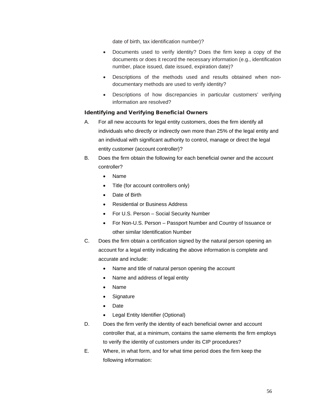date of birth, tax identification number)?

- Documents used to verify identity? Does the firm keep a copy of the documents or does it record the necessary information (e.g., identification number, place issued, date issued, expiration date)?
- Descriptions of the methods used and results obtained when nondocumentary methods are used to verify identity?
- Descriptions of how discrepancies in particular customers' verifying information are resolved?

## Identifying and Verifying Beneficial Owners

- A. For all new accounts for legal entity customers, does the firm identify all individuals who directly or indirectly own more than 25% of the legal entity and an individual with significant authority to control, manage or direct the legal entity customer (account controller)?
- B. Does the firm obtain the following for each beneficial owner and the account controller?
	- Name
	- Title (for account controllers only)
	- Date of Birth
	- Residential or Business Address
	- For U.S. Person Social Security Number
	- For Non-U.S. Person Passport Number and Country of Issuance or other similar Identification Number
- C. Does the firm obtain a certification signed by the natural person opening an account for a legal entity indicating the above information is complete and accurate and include:
	- Name and title of natural person opening the account
	- Name and address of legal entity
	- Name
	- Signature
	- Date
	- Legal Entity Identifier (Optional)
- D. Does the firm verify the identity of each beneficial owner and account controller that, at a minimum, contains the same elements the firm employs to verify the identity of customers under its CIP procedures?
- E. Where, in what form, and for what time period does the firm keep the following information: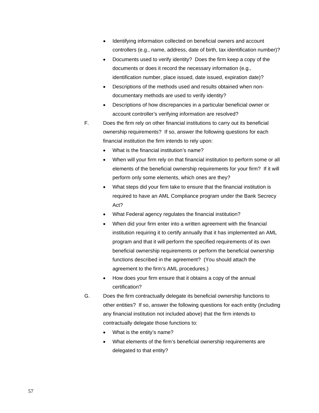- Identifying information collected on beneficial owners and account controllers (e.g., name, address, date of birth, tax identification number)?
- Documents used to verify identity? Does the firm keep a copy of the documents or does it record the necessary information (e.g., identification number, place issued, date issued, expiration date)?
- Descriptions of the methods used and results obtained when nondocumentary methods are used to verify identity?
- Descriptions of how discrepancies in a particular beneficial owner or account controller's verifying information are resolved?
- F. Does the firm rely on other financial institutions to carry out its beneficial ownership requirements? If so, answer the following questions for each financial institution the firm intends to rely upon:
	- What is the financial institution's name?
	- When will your firm rely on that financial institution to perform some or all elements of the beneficial ownership requirements for your firm? If it will perform only some elements, which ones are they?
	- What steps did your firm take to ensure that the financial institution is required to have an AML Compliance program under the Bank Secrecy Act?
	- What Federal agency regulates the financial institution?
	- When did your firm enter into a written agreement with the financial institution requiring it to certify annually that it has implemented an AML program and that it will perform the specified requirements of its own beneficial ownership requirements or perform the beneficial ownership functions described in the agreement? (You should attach the agreement to the firm's AML procedures.)
	- How does your firm ensure that it obtains a copy of the annual certification?
- G. Does the firm contractually delegate its beneficial ownership functions to other entities? If so, answer the following questions for each entity (including any financial institution not included above) that the firm intends to contractually delegate those functions to:
	- What is the entity's name?
	- What elements of the firm's beneficial ownership requirements are delegated to that entity?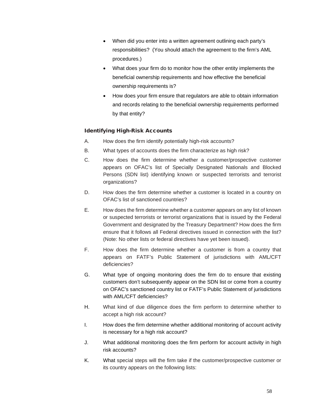- When did you enter into a written agreement outlining each party's responsibilities? (You should attach the agreement to the firm's AML procedures.)
- What does your firm do to monitor how the other entity implements the beneficial ownership requirements and how effective the beneficial ownership requirements is?
- How does your firm ensure that regulators are able to obtain information and records relating to the beneficial ownership requirements performed by that entity?

# Identifying High-Risk Accounts

- A. How does the firm identify potentially high-risk accounts?
- B. What types of accounts does the firm characterize as high risk?
- C. How does the firm determine whether a customer/prospective customer appears on OFAC's list of Specially Designated Nationals and Blocked Persons (SDN list) identifying known or suspected terrorists and terrorist organizations?
- D. How does the firm determine whether a customer is located in a country on OFAC's list of sanctioned countries?
- E. How does the firm determine whether a customer appears on any list of known or suspected terrorists or terrorist organizations that is issued by the Federal Government and designated by the Treasury Department? How does the firm ensure that it follows all Federal directives issued in connection with the list? (Note: No other lists or federal directives have yet been issued).
- F. How does the firm determine whether a customer is from a country that appears on FATF's Public Statement of jurisdictions with AML/CFT deficiencies?
- G. What type of ongoing monitoring does the firm do to ensure that existing customers don't subsequently appear on the SDN list or come from a country on OFAC's sanctioned country list or FATF's Public Statement of jurisdictions with AML/CFT deficiencies?
- H. What kind of due diligence does the firm perform to determine whether to accept a high risk account?
- I. How does the firm determine whether additional monitoring of account activity is necessary for a high risk account?
- J. What additional monitoring does the firm perform for account activity in high risk accounts?
- K. What special steps will the firm take if the customer/prospective customer or its country appears on the following lists: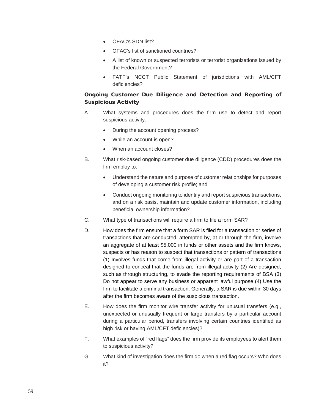- OFAC's SDN list?
- OFAC's list of sanctioned countries?
- A list of known or suspected terrorists or terrorist organizations issued by the Federal Government?
- FATF's NCCT Public Statement of jurisdictions with AML/CFT deficiencies?

# Ongoing Customer Due Diligence and Detection and Reporting of Suspicious Activity

- A. What systems and procedures does the firm use to detect and report suspicious activity:
	- During the account opening process?
	- While an account is open?
	- When an account closes?
- B. What risk-based ongoing customer due diligence (CDD) procedures does the firm employ to:
	- Understand the nature and purpose of customer relationships for purposes of developing a customer risk profile; and
	- Conduct ongoing monitoring to identify and report suspicious transactions, and on a risk basis, maintain and update customer information, including beneficial ownership information?
- C. What type of transactions will require a firm to file a form SAR?
- D. How does the firm ensure that a form SAR is filed for a transaction or series of transactions that are conducted, attempted by, at or through the firm, involve an aggregate of at least \$5,000 in funds or other assets and the firm knows, suspects or has reason to suspect that transactions or pattern of transactions (1) Involves funds that come from illegal activity or are part of a transaction designed to conceal that the funds are from illegal activity (2) Are designed, such as through structuring, to evade the reporting requirements of BSA (3) Do not appear to serve any business or apparent lawful purpose (4) Use the firm to facilitate a criminal transaction. Generally, a SAR is due within 30 days after the firm becomes aware of the suspicious transaction.
- E. How does the firm monitor wire transfer activity for unusual transfers (e.g., unexpected or unusually frequent or large transfers by a particular account during a particular period, transfers involving certain countries identified as high risk or having AML/CFT deficiencies)?
- F. What examples of "red flags" does the firm provide its employees to alert them to suspicious activity?
- G. What kind of investigation does the firm do when a red flag occurs? Who does it?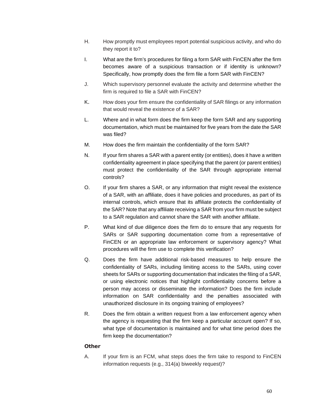- H. How promptly must employees report potential suspicious activity, and who do they report it to?
- I. What are the firm's procedures for filing a form SAR with FinCEN after the firm becomes aware of a suspicious transaction or if identity is unknown? Specifically, how promptly does the firm file a form SAR with FinCEN?
- J. Which supervisory personnel evaluate the activity and determine whether the firm is required to file a SAR with FinCEN?
- K. How does your firm ensure the confidentiality of SAR filings or any information that would reveal the existence of a SAR?
- L. Where and in what form does the firm keep the form SAR and any supporting documentation, which must be maintained for five years from the date the SAR was filed?
- M. How does the firm maintain the confidentiality of the form SAR?
- N. If your firm shares a SAR with a parent entity (or entities), does it have a written confidentiality agreement in place specifying that the parent (or parent entities) must protect the confidentiality of the SAR through appropriate internal controls?
- O. If your firm shares a SAR, or any information that might reveal the existence of a SAR, with an affiliate, does it have policies and procedures, as part of its internal controls, which ensure that its affiliate protects the confidentiality of the SAR? Note that any affiliate receiving a SAR from your firm must be subject to a SAR regulation and cannot share the SAR with another affiliate.
- P. What kind of due diligence does the firm do to ensure that any requests for SARs or SAR supporting documentation come from a representative of FinCEN or an appropriate law enforcement or supervisory agency? What procedures will the firm use to complete this verification?
- Q. Does the firm have additional risk-based measures to help ensure the confidentiality of SARs, including limiting access to the SARs, using cover sheets for SARs or supporting documentation that indicates the filing of a SAR, or using electronic notices that highlight confidentiality concerns before a person may access or disseminate the information? Does the firm include information on SAR confidentiality and the penalties associated with unauthorized disclosure in its ongoing training of employees?
- R. Does the firm obtain a written request from a law enforcement agency when the agency is requesting that the firm keep a particular account open? If so, what type of documentation is maintained and for what time period does the firm keep the documentation?

### **Other**

A. If your firm is an FCM, what steps does the firm take to respond to FinCEN information requests (e.g., 314(a) biweekly request)?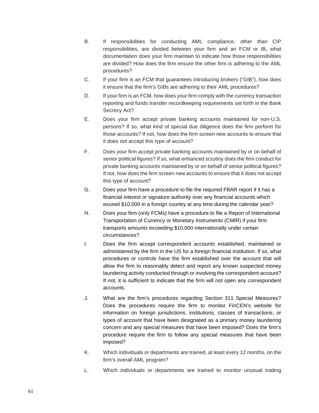- B. If responsibilities for conducting AML compliance, other than CIP responsibilities, are divided between your firm and an FCM or IB, what documentation does your firm maintain to indicate how those responsibilities are divided? How does the firm ensure the other firm is adhering to the AML procedures?
- C. If your firm is an FCM that guarantees introducing brokers ("GIB"), how does it ensure that the firm's GIBs are adhering to their AML procedures?
- D. If your firm is an FCM, how does your firm comply with the currency transaction reporting and funds transfer recordkeeping requirements set forth in the Bank Secrecy Act?
- E. Does your firm accept private banking accounts maintained for non-U.S. persons? If so, what kind of special due diligence does the firm perform for those accounts? If not, how does the firm screen new accounts to ensure that it does not accept this type of account?
- F. Does your firm accept private banking accounts maintained by or on behalf of senior political figures? If so, what enhanced scrutiny does the firm conduct for private banking accounts maintained by or on behalf of senior political figures? If not, how does the firm screen new accounts to ensure that it does not accept this type of account?
- G. Does your firm have a procedure to file the required FBAR report if it has a financial interest or signature authority over any financial accounts which exceed \$10,000 in a foreign country at any time during the calendar year?
- H. Does your firm (only FCMs) have a procedure to file a Report of International Transportation of Currency or Monetary Instruments (CMIR) if your firm transports amounts exceeding \$10,000 internationally under certain circumstances?
- I. Does the firm accept correspondent accounts established, maintained or administered by the firm in the US for a foreign financial institution. If so, what procedures or controls have the firm established over the account that will allow the firm to reasonably detect and report any known suspected money laundering activity conducted through or involving the correspondent account? If not, it is sufficient to indicate that the firm will not open any correspondent accounts.
- J. What are the firm's procedures regarding Section 311 Special Measures? Does the procedures require the firm to monitor FinCEN's website for information on foreign jurisdictions, institutions, classes of transactions, or types of account that have been designated as a primary money laundering concern and any special measures that have been imposed? Does the firm's procedure require the firm to follow any special measures that have been imposed?
- K. Which individuals or departments are trained, at least every 12 months, on the firm's overall AML program?
- L. Which individuals or departments are trained to monitor unusual trading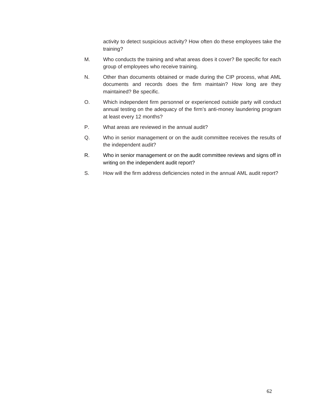activity to detect suspicious activity? How often do these employees take the training?

- M. Who conducts the training and what areas does it cover? Be specific for each group of employees who receive training.
- N. Other than documents obtained or made during the CIP process, what AML documents and records does the firm maintain? How long are they maintained? Be specific.
- O. Which independent firm personnel or experienced outside party will conduct annual testing on the adequacy of the firm's anti-money laundering program at least every 12 months?
- P. What areas are reviewed in the annual audit?
- Q. Who in senior management or on the audit committee receives the results of the independent audit?
- R. Who in senior management or on the audit committee reviews and signs off in writing on the independent audit report?
- S. How will the firm address deficiencies noted in the annual AML audit report?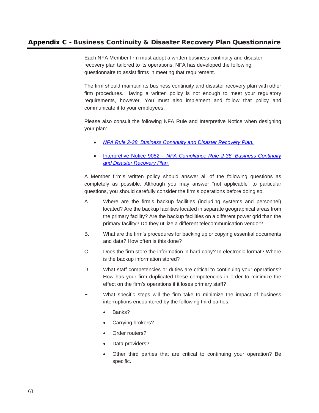# Appendix C - Business Continuity & Disaster Recovery Plan Questionnaire

Each NFA Member firm must adopt a written business continuity and disaster recovery plan tailored to its operations. NFA has developed the following questionnaire to assist firms in meeting that requirement.

The firm should maintain its business continuity and disaster recovery plan with other firm procedures. Having a written policy is not enough to meet your regulatory requirements, however. You must also implement and follow that policy and communicate it to your employees.

Please also consult the following NFA Rule and Interpretive Notice when designing your plan:

- *[NFA Rule 2-38. Business Continuity and Disaster Recovery Plan.](https://www.nfa.futures.org/rulebook/rules.aspx?Section=4&RuleID=RULE%202-38)*
- Interpretive Notice 9052 *– [NFA Compliance Rule 2-38: Business Continuity](https://www.nfa.futures.org/rulebook/rules.aspx?Section=9&RuleID=9052)  [and Disaster Recovery Plan.](https://www.nfa.futures.org/rulebook/rules.aspx?Section=9&RuleID=9052)*

A Member firm's written policy should answer all of the following questions as completely as possible. Although you may answer "not applicable" to particular questions, you should carefully consider the firm's operations before doing so.

- A. Where are the firm's backup facilities (including systems and personnel) located? Are the backup facilities located in separate geographical areas from the primary facility? Are the backup facilities on a different power grid than the primary facility? Do they utilize a different telecommunication vendor?
- B. What are the firm's procedures for backing up or copying essential documents and data? How often is this done?
- C. Does the firm store the information in hard copy? In electronic format? Where is the backup information stored?
- D. What staff competencies or duties are critical to continuing your operations? How has your firm duplicated these competencies in order to minimize the effect on the firm's operations if it loses primary staff?
- E. What specific steps will the firm take to minimize the impact of business interruptions encountered by the following third parties:
	- Banks?
	- Carrying brokers?
	- Order routers?
	- Data providers?
	- Other third parties that are critical to continuing your operation? Be specific.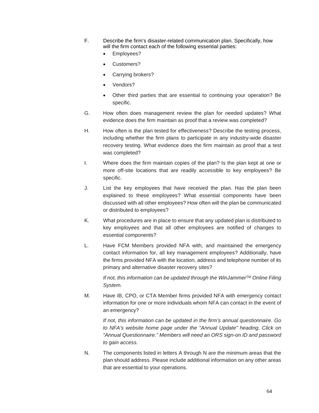- F. Describe the firm's disaster-related communication plan. Specifically, how will the firm contact each of the following essential parties:
	- Employees?
	- Customers?
	- Carrying brokers?
	- Vendors?
	- Other third parties that are essential to continuing your operation? Be specific.
- G. How often does management review the plan for needed updates? What evidence does the firm maintain as proof that a review was completed?
- H. How often is the plan tested for effectiveness? Describe the testing process, including whether the firm plans to participate in any industry-wide disaster recovery testing. What evidence does the firm maintain as proof that a test was completed?
- I. Where does the firm maintain copies of the plan? Is the plan kept at one or more off-site locations that are readily accessible to key employees? Be specific.
- J. List the key employees that have received the plan. Has the plan been explained to these employees? What essential components have been discussed with all other employees? How often will the plan be communicated or distributed to employees?
- K. What procedures are in place to ensure that any updated plan is distributed to key employees and that all other employees are notified of changes to essential components?
- L. Have FCM Members provided NFA with, and maintained the emergency contact information for, all key management employees? Additionally, have the firms provided NFA with the location, address and telephone number of its primary and alternative disaster recovery sites?

*If not, this information can be updated through the WinJammerTM Online Filing System.*

M. Have IB, CPO, or CTA Member firms provided NFA with emergency contact information for one or more individuals whom NFA can contact in the event of an emergency?

*If not, this information can be updated in the firm's annual questionnaire. Go to NFA's website home page under the "Annual Update" heading. Click on "Annual Questionnaire." Members will need an ORS sign-on ID and password to gain access.* 

N. The components listed in letters A through N are the minimum areas that the plan should address. Please include additional information on any other areas that are essential to your operations.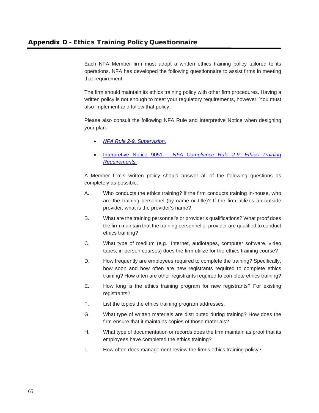Each NFA Member firm must adopt a written ethics training policy tailored to its operations. NFA has developed the following questionnaire to assist firms in meeting that requirement.

The firm should maintain its ethics training policy with other firm procedures. Having a written policy is not enough to meet your regulatory requirements, however. You must also implement and follow that policy.

Please also consult the following NFA Rule and Interpretive Notice when designing your plan:

- *[NFA Rule 2-9. Supervision.](https://www.nfa.futures.org/rulebook/rules.aspx?Section=4&RuleID=RULE%202-9)*
- Interpretive Notice 9051 *NFA [Compliance Rule 2-9: Ethics Training](https://www.nfa.futures.org/rulebook/rules.aspx?Section=9&RuleID=9051)  [Requirements.](https://www.nfa.futures.org/rulebook/rules.aspx?Section=9&RuleID=9051)*

A Member firm's written policy should answer all of the following questions as completely as possible.

- A. Who conducts the ethics training? If the firm conducts training in-house, who are the training personnel (by name or title)? If the firm utilizes an outside provider, what is the provider's name?
- B. What are the training personnel's or provider's qualifications? What proof does the firm maintain that the training personnel or provider are qualified to conduct ethics training?
- C. What type of medium (e.g., Internet, audiotapes, computer software, video tapes, in-person courses) does the firm utilize for the ethics training course?
- D. How frequently are employees required to complete the training? Specifically, how soon and how often are new registrants required to complete ethics training? How often are other registrants required to complete ethics training?
- E. How long is the ethics training program for new registrants? For existing registrants?
- F. List the topics the ethics training program addresses.
- G. What type of written materials are distributed during training? How does the firm ensure that it maintains copies of those materials?
- H. What type of documentation or records does the firm maintain as proof that its employees have completed the ethics training?
- I. How often does management review the firm's ethics training policy?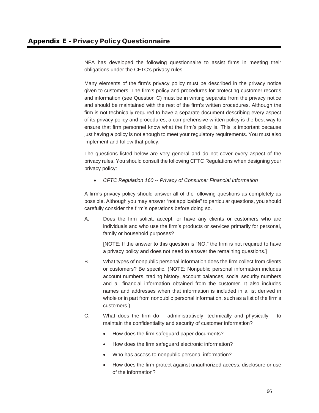NFA has developed the following questionnaire to assist firms in meeting their obligations under the CFTC's privacy rules.

Many elements of the firm's privacy policy must be described in the privacy notice given to customers. The firm's policy and procedures for protecting customer records and information (see Question C) must be in writing separate from the privacy notice and should be maintained with the rest of the firm's written procedures. Although the firm is not technically required to have a separate document describing every aspect of its privacy policy and procedures, a comprehensive written policy is the best way to ensure that firm personnel know what the firm's policy is. This is important because just having a policy is not enough to meet your regulatory requirements. You must also implement and follow that policy.

The questions listed below are very general and do not cover every aspect of the privacy rules. You should consult the following CFTC Regulations when designing your privacy policy:

• *CFTC Regulation 160 -- Privacy of Consumer Financial Information* 

A firm's privacy policy should answer all of the following questions as completely as possible. Although you may answer "not applicable" to particular questions, you should carefully consider the firm's operations before doing so.

A. Does the firm solicit, accept, or have any clients or customers who are individuals and who use the firm's products or services primarily for personal, family or household purposes?

[NOTE: If the answer to this question is "NO," the firm is not required to have a privacy policy and does not need to answer the remaining questions.]

- B. What types of nonpublic personal information does the firm collect from clients or customers? Be specific. (NOTE: Nonpublic personal information includes account numbers, trading history, account balances, social security numbers and all financial information obtained from the customer. It also includes names and addresses when that information is included in a list derived in whole or in part from nonpublic personal information, such as a list of the firm's customers.)
- C. What does the firm do administratively, technically and physically to maintain the confidentiality and security of customer information?
	- How does the firm safeguard paper documents?
	- How does the firm safeguard electronic information?
	- Who has access to nonpublic personal information?
	- How does the firm protect against unauthorized access, disclosure or use of the information?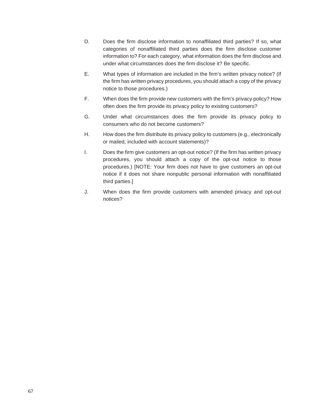- D. Does the firm disclose information to nonaffiliated third parties? If so, what categories of nonaffiliated third parties does the firm disclose customer information to? For each category, what information does the firm disclose and under what circumstances does the firm disclose it? Be specific.
- E. What types of information are included in the firm's written privacy notice? (If the firm has written privacy procedures, you should attach a copy of the privacy notice to those procedures.)
- F. When does the firm provide new customers with the firm's privacy policy? How often does the firm provide its privacy policy to existing customers?
- G. Under what circumstances does the firm provide its privacy policy to consumers who do not become customers?
- H. How does the firm distribute its privacy policy to customers (e.g., electronically or mailed, included with account statements)?
- I. Does the firm give customers an opt-out notice? (If the firm has written privacy procedures, you should attach a copy of the opt-out notice to those procedures.) [NOTE: Your firm does not have to give customers an opt-out notice if it does not share nonpublic personal information with nonaffiliated third parties.]
- J. When does the firm provide customers with amended privacy and opt-out notices?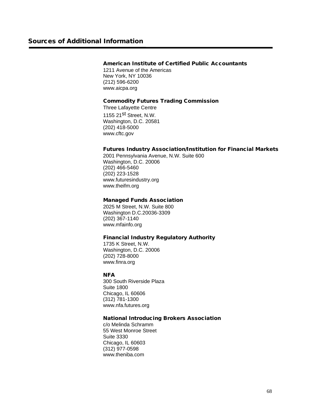## American Institute of Certified Public Accountants

1211 Avenue of the Americas New York, NY 10036 (212) 596-6200 [www.aicpa.org](http://www.aicpa.org/)

### Commodity Futures Trading Commission

Three Lafayette Centre 1155 21<sup>st</sup> Street, N.W. Washington, D.C. 20581 (202) 418-5000 [www.cftc.gov](http://www.cftc.gov/)

# Futures Industry Association/Institution for Financial Markets

2001 Pennsylvania Avenue, N.W. Suite 600 Washington, D.C. 20006 (202) 466-5460 (202) 223-1528 www.futuresindustry.org www.theifm.org

## Managed Funds Association

2025 M Street, N.W. Suite 800 Washington D.C.20036-3309 (202) 367-1140 www.mfainfo.org

## Financial Industry Regulatory Authority

1735 K Street, N.W. Washington, D.C. 20006 (202) 728-8000 www.finra.org

## **NFA**

300 South Riverside Plaza Suite 1800 Chicago, IL 60606 (312) 781-1300 [www.nfa.futures.org](http://www.nfa.futures.org/)

## National Introducing Brokers Association

c/o Melinda Schramm 55 West Monroe Street Suite 3330 Chicago, IL 60603 (312) 977-0598 www.theniba.com